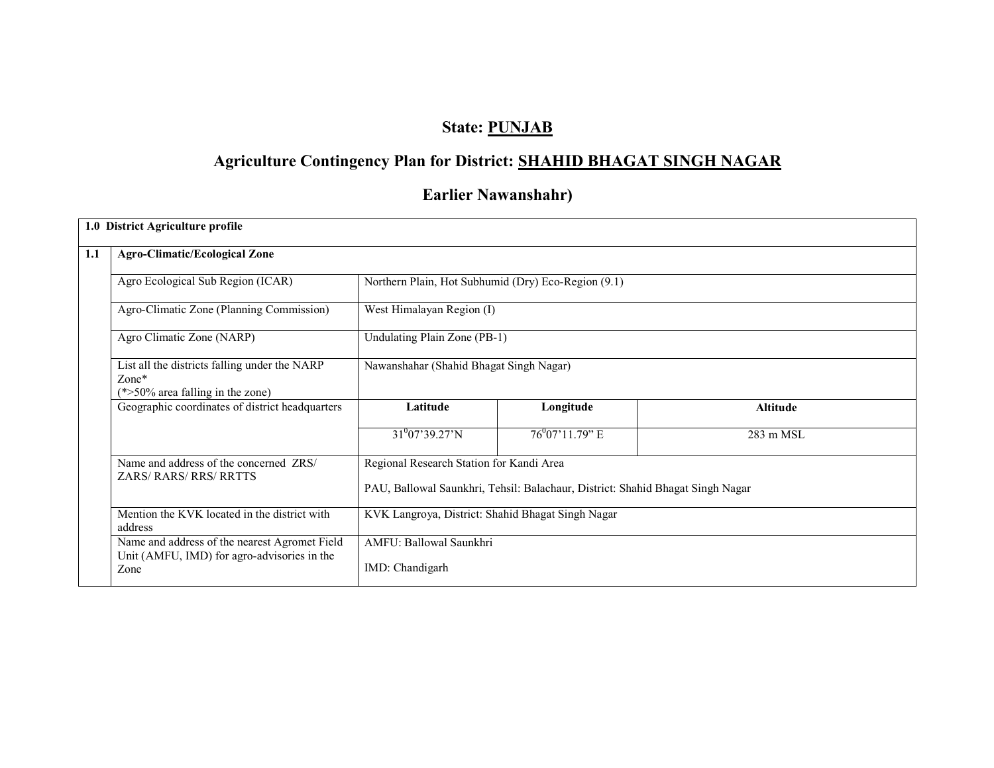# State: PUNJAB

# Agriculture Contingency Plan for District: SHAHID BHAGAT SINGH NAGAR

# Earlier Nawanshahr)

|                                                                                                              | 1.0 District Agriculture profile                                                                |                                                                                |                              |                 |  |  |  |  |
|--------------------------------------------------------------------------------------------------------------|-------------------------------------------------------------------------------------------------|--------------------------------------------------------------------------------|------------------------------|-----------------|--|--|--|--|
| 1.1                                                                                                          | <b>Agro-Climatic/Ecological Zone</b>                                                            |                                                                                |                              |                 |  |  |  |  |
|                                                                                                              | Agro Ecological Sub Region (ICAR)                                                               | Northern Plain, Hot Subhumid (Dry) Eco-Region (9.1)                            |                              |                 |  |  |  |  |
|                                                                                                              | Agro-Climatic Zone (Planning Commission)                                                        | West Himalayan Region (I)                                                      |                              |                 |  |  |  |  |
|                                                                                                              | Agro Climatic Zone (NARP)                                                                       |                                                                                | Undulating Plain Zone (PB-1) |                 |  |  |  |  |
|                                                                                                              | List all the districts falling under the NARP<br>$Zone*$<br>$(*>50\%$ area falling in the zone) | Nawanshahar (Shahid Bhagat Singh Nagar)                                        |                              |                 |  |  |  |  |
|                                                                                                              | Geographic coordinates of district headquarters                                                 | Latitude                                                                       | Longitude                    | <b>Altitude</b> |  |  |  |  |
|                                                                                                              |                                                                                                 | $31^{0}07'39.27'N$                                                             | $76^{0}07'11.79"$ E          | 283 m MSL       |  |  |  |  |
|                                                                                                              | Name and address of the concerned ZRS/<br>ZARS/RARS/RRS/RRTTS                                   | Regional Research Station for Kandi Area                                       |                              |                 |  |  |  |  |
|                                                                                                              |                                                                                                 | PAU, Ballowal Saunkhri, Tehsil: Balachaur, District: Shahid Bhagat Singh Nagar |                              |                 |  |  |  |  |
| Mention the KVK located in the district with<br>KVK Langroya, District: Shahid Bhagat Singh Nagar<br>address |                                                                                                 |                                                                                |                              |                 |  |  |  |  |
|                                                                                                              | Name and address of the nearest Agromet Field<br>Unit (AMFU, IMD) for agro-advisories in the    | AMFU: Ballowal Saunkhri                                                        |                              |                 |  |  |  |  |
|                                                                                                              | Zone                                                                                            | IMD: Chandigarh                                                                |                              |                 |  |  |  |  |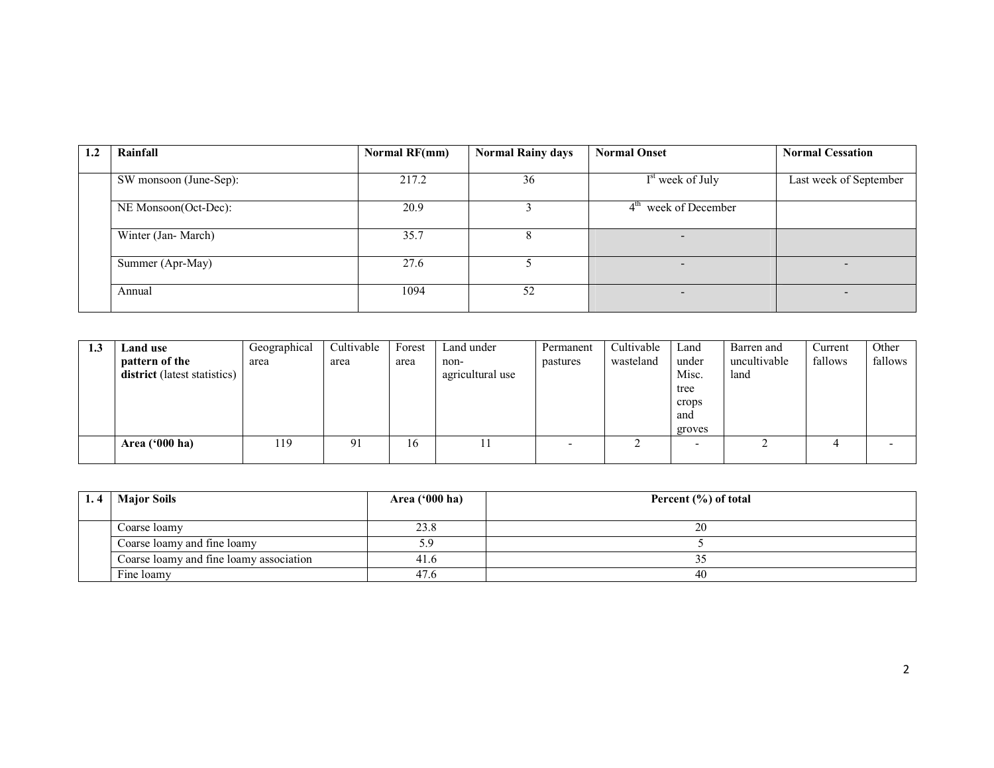| Rainfall               | Normal RF(mm) | <b>Normal Rainy days</b> | <b>Normal Onset</b>          | <b>Normal Cessation</b> |
|------------------------|---------------|--------------------------|------------------------------|-------------------------|
|                        |               |                          |                              |                         |
| SW monsoon (June-Sep): | 217.2         | 36                       | I <sup>st</sup> week of July | Last week of September  |
|                        |               |                          |                              |                         |
| NE Monsoon(Oct-Dec):   | 20.9          |                          | $4th$ week of December       |                         |
|                        |               |                          |                              |                         |
| Winter (Jan-March)     | 35.7          | 8                        |                              |                         |
|                        |               |                          |                              |                         |
| Summer (Apr-May)       | 27.6          |                          | $\overline{\phantom{0}}$     |                         |
|                        |               |                          |                              |                         |
| Annual                 | 1094          | 52                       | -                            |                         |
|                        |               |                          |                              |                         |

| 1.3 | Land use                     | Geographical | Cultivable | Forest | Land under       | Permanent | Cultivable | Land   | Barren and   | Current | Other   |
|-----|------------------------------|--------------|------------|--------|------------------|-----------|------------|--------|--------------|---------|---------|
|     | pattern of the               | area         | area       | area   | non-             | pastures  | wasteland  | under  | uncultivable | fallows | fallows |
|     | district (latest statistics) |              |            |        | agricultural use |           |            | Misc.  | land         |         |         |
|     |                              |              |            |        |                  |           |            | tree   |              |         |         |
|     |                              |              |            |        |                  |           |            | crops  |              |         |         |
|     |                              |              |            |        |                  |           |            | and    |              |         |         |
|     |                              |              |            |        |                  |           |            | groves |              |         |         |
|     | Area $(900 \text{ ha})$      | 119          | 91         | 16     | 11               |           |            |        |              | ↵       | -       |
|     |                              |              |            |        |                  |           |            |        |              |         |         |

| <b>Major Soils</b>                      | Area ('000 ha) | Percent $(\% )$ of total |
|-----------------------------------------|----------------|--------------------------|
|                                         |                |                          |
| Coarse loamy                            | 23.8           | 20                       |
| Coarse loamy and fine loamy             | 5.9            |                          |
| Coarse loamy and fine loamy association | 41.6           |                          |
| Fine loamy                              | 47.6           | 40                       |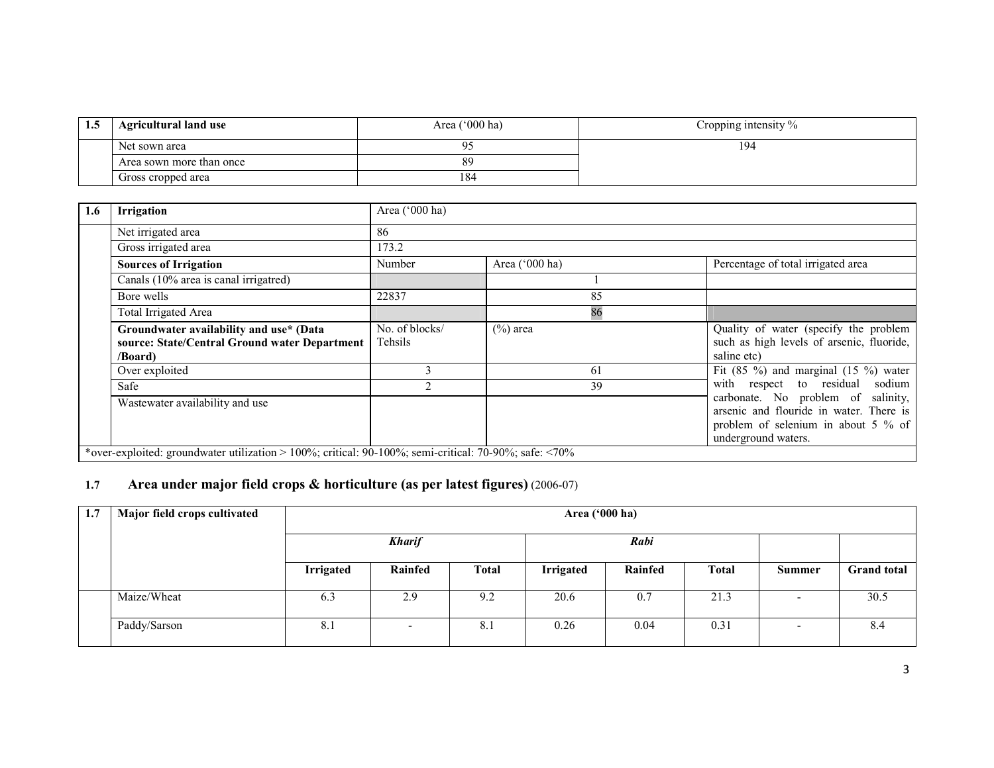| L.S | <b>Agricultural land use</b> | Area $('000 ha)$ | Cropping intensity % |
|-----|------------------------------|------------------|----------------------|
|     | Net sown area                | $\Omega$         | 194                  |
|     | Area sown more than once     | 89               |                      |
|     | Gross cropped area           | 184              |                      |

| 1.6 | <b>Irrigation</b>                                                                                     | Area ('000 ha)            |                |                                                                                                                                             |
|-----|-------------------------------------------------------------------------------------------------------|---------------------------|----------------|---------------------------------------------------------------------------------------------------------------------------------------------|
|     | Net irrigated area                                                                                    | 86                        |                |                                                                                                                                             |
|     | Gross irrigated area                                                                                  | 173.2                     |                |                                                                                                                                             |
|     | <b>Sources of Irrigation</b>                                                                          | Number                    | Area ('000 ha) | Percentage of total irrigated area                                                                                                          |
|     | Canals (10% area is canal irrigatred)                                                                 |                           |                |                                                                                                                                             |
|     | Bore wells                                                                                            | 22837                     | 85             |                                                                                                                                             |
|     | Total Irrigated Area                                                                                  |                           | 86             |                                                                                                                                             |
|     | Groundwater availability and use* (Data<br>source: State/Central Ground water Department<br>/Board)   | No. of blocks/<br>Tehsils | $(\%)$ area    | Quality of water (specify the problem<br>such as high levels of arsenic, fluoride,<br>saline etc)                                           |
|     | Over exploited                                                                                        |                           | 61             | Fit $(85 \%)$ and marginal $(15 \%)$ water                                                                                                  |
|     | Safe                                                                                                  |                           | 39             | with respect to residual sodium                                                                                                             |
|     | Wastewater availability and use                                                                       |                           |                | carbonate. No problem of salinity,<br>arsenic and flouride in water. There is<br>problem of selenium in about 5 % of<br>underground waters. |
|     | *over-exploited: groundwater utilization > 100%; critical: 90-100%; semi-critical: 70-90%; safe: <70% |                           |                |                                                                                                                                             |

### 1.7 Area under major field crops & horticulture (as per latest figures) (2006-07)

| 1.7 | Major field crops cultivated |                  | Area ('000 ha)           |              |                  |         |              |                          |                    |
|-----|------------------------------|------------------|--------------------------|--------------|------------------|---------|--------------|--------------------------|--------------------|
|     |                              |                  | <b>Kharif</b><br>Rabi    |              |                  |         |              |                          |                    |
|     |                              | <b>Irrigated</b> | Rainfed                  | <b>Total</b> | <b>Irrigated</b> | Rainfed | <b>Total</b> | <b>Summer</b>            | <b>Grand total</b> |
|     | Maize/Wheat                  | 6.3              | 2.9                      | 9.2          | 20.6             | 0.7     | 21.3         | $\overline{\phantom{a}}$ | 30.5               |
|     | Paddy/Sarson                 | 8.1              | $\overline{\phantom{0}}$ | 8.1          | 0.26             | 0.04    | 0.31         | $\overline{\phantom{a}}$ | 8.4                |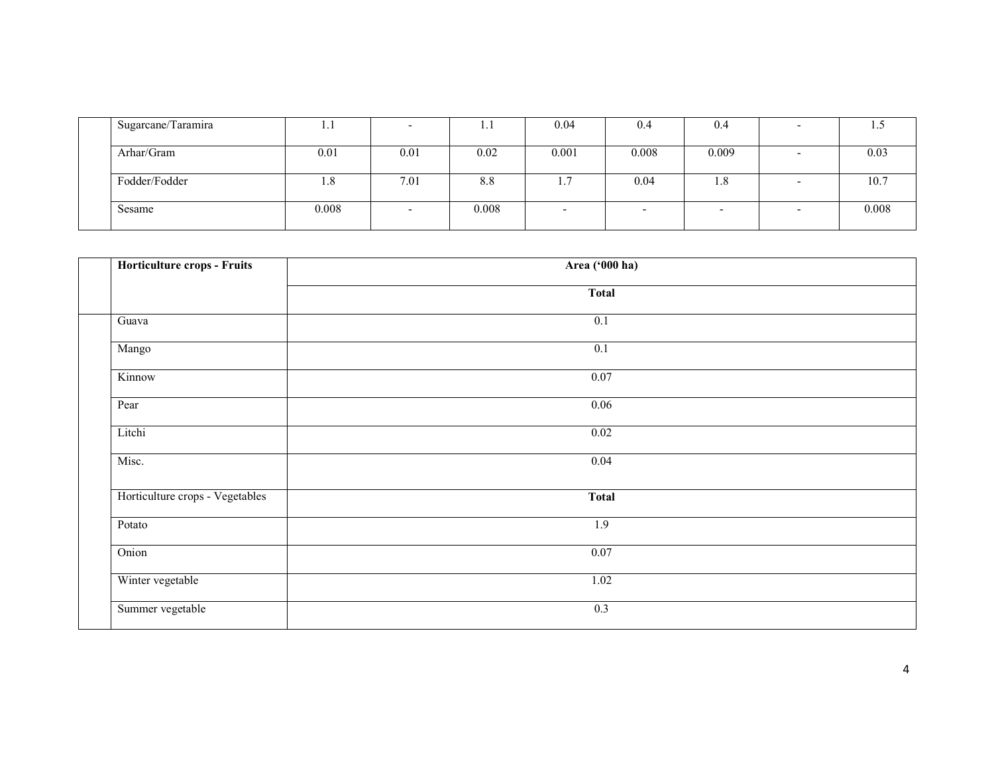| Sugarcane/Taramira | 1.1   |      | 1.1   | 0.04                     | 0.4   | 0.4   |       |
|--------------------|-------|------|-------|--------------------------|-------|-------|-------|
|                    |       |      |       |                          |       |       |       |
| Arhar/Gram         | 0.01  | 0.01 | 0.02  | 0.001                    | 0.008 | 0.009 | 0.03  |
|                    |       |      |       |                          |       |       |       |
| Fodder/Fodder      | 1.8   | 7.01 | 8.8   |                          | 0.04  | 1.8   | 10.7  |
|                    |       |      |       |                          |       |       |       |
| Sesame             | 0.008 |      | 0.008 | $\overline{\phantom{a}}$ |       |       | 0.008 |
|                    |       |      |       |                          |       |       |       |

| Horticulture crops - Fruits     | Area ('000 ha)    |  |
|---------------------------------|-------------------|--|
|                                 | <b>Total</b>      |  |
| Guava                           | $\overline{0.1}$  |  |
| Mango                           | $\overline{0.1}$  |  |
| Kinnow                          | $\overline{0.07}$ |  |
| Pear                            | 0.06              |  |
| Litchi                          | 0.02              |  |
| Misc.                           | 0.04              |  |
| Horticulture crops - Vegetables | <b>Total</b>      |  |
| Potato                          | 1.9               |  |
| Onion                           | 0.07              |  |
| Winter vegetable                | 1.02              |  |
| Summer vegetable                | 0.3               |  |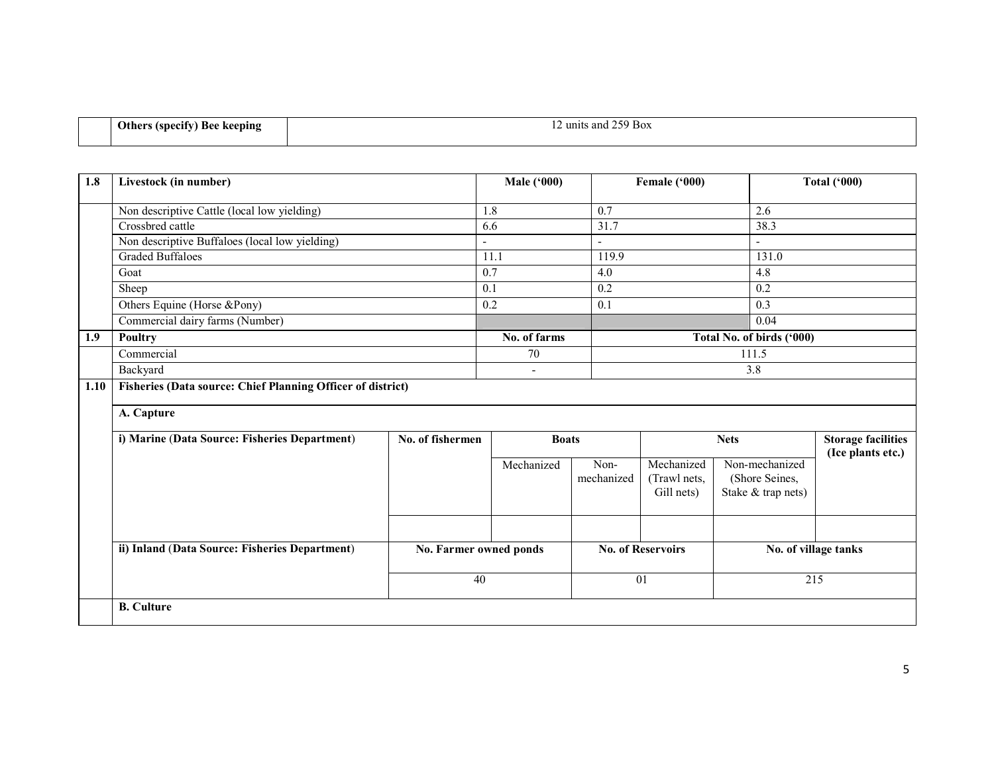| <b>Others (specify) Bee keeping</b><br>. . | $\sim$ $\sim$ $\sim$<br>$\sim$<br>259 Box<br>$\pm 2$ units and $25^{\circ}$ |
|--------------------------------------------|-----------------------------------------------------------------------------|
|                                            |                                                                             |

| 1.8  | Livestock (in number)                                              |                  | <b>Male ('000)</b>       |                          | Female ('000)            |                           | <b>Total ('000)</b>                            |
|------|--------------------------------------------------------------------|------------------|--------------------------|--------------------------|--------------------------|---------------------------|------------------------------------------------|
|      | Non descriptive Cattle (local low yielding)                        |                  | 1.8                      | $\overline{0.7}$         |                          | 2.6                       |                                                |
|      | Crossbred cattle                                                   |                  | 6.6                      | 31.7                     |                          | 38.3                      |                                                |
|      | Non descriptive Buffaloes (local low yielding)                     |                  |                          | $\overline{\phantom{a}}$ |                          |                           |                                                |
|      | <b>Graded Buffaloes</b>                                            |                  | 11.1                     | 119.9                    |                          | 131.0                     |                                                |
|      | Goat                                                               |                  | 0.7                      | 4.0                      |                          | 4.8                       |                                                |
|      | Sheep                                                              |                  | 0.1                      | 0.2                      |                          | 0.2                       |                                                |
|      | Others Equine (Horse &Pony)                                        |                  | 0.2                      | 0.1                      |                          | 0.3                       |                                                |
|      | Commercial dairy farms (Number)                                    |                  |                          |                          |                          | 0.04                      |                                                |
| 1.9  | Poultry                                                            |                  | No. of farms             |                          |                          | Total No. of birds ('000) |                                                |
|      | Commercial                                                         |                  | 70                       |                          |                          | 111.5                     |                                                |
|      | Backyard                                                           |                  | $\overline{\phantom{a}}$ |                          |                          | 3.8                       |                                                |
| 1.10 | <b>Fisheries (Data source: Chief Planning Officer of district)</b> |                  |                          |                          |                          |                           |                                                |
|      | A. Capture                                                         |                  |                          |                          |                          |                           |                                                |
|      | i) Marine (Data Source: Fisheries Department)                      | No. of fishermen | <b>Boats</b>             |                          |                          | <b>Nets</b>               | <b>Storage facilities</b><br>(Ice plants etc.) |
|      |                                                                    |                  | Mechanized               | Non-                     | Mechanized               | Non-mechanized            |                                                |
|      |                                                                    |                  |                          | mechanized               | (Trawl nets,             | (Shore Seines,            |                                                |
|      |                                                                    |                  |                          |                          | Gill nets)               | Stake & trap nets)        |                                                |
|      |                                                                    |                  |                          |                          |                          |                           |                                                |
|      | ii) Inland (Data Source: Fisheries Department)                     |                  | No. Farmer owned ponds   |                          | <b>No. of Reservoirs</b> |                           | No. of village tanks                           |
|      |                                                                    | 40               |                          |                          | 01                       | 215                       |                                                |
|      | <b>B.</b> Culture                                                  |                  |                          |                          |                          |                           |                                                |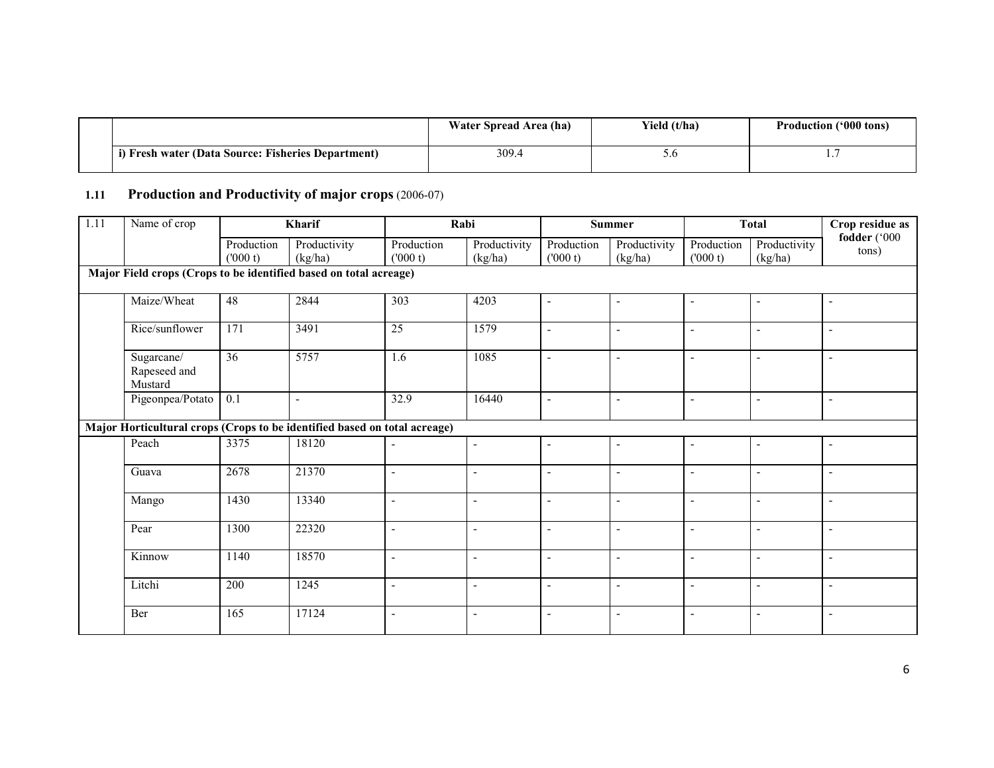|                                                    | Water Spread Area (ha) | Yield (t/ha) | <b>Production ('000 tons)</b> |
|----------------------------------------------------|------------------------|--------------|-------------------------------|
| i) Fresh water (Data Source: Fisheries Department) | 309.4                  | J.J          |                               |

# 1.11 Production and Productivity of major crops (2006-07)

| 1.11 | Name of crop                                                              |                       | Kharif                  | Rabi                     |                          |                          | Summer                  |                          | <b>Total</b>             | Crop residue as          |
|------|---------------------------------------------------------------------------|-----------------------|-------------------------|--------------------------|--------------------------|--------------------------|-------------------------|--------------------------|--------------------------|--------------------------|
|      |                                                                           | Production<br>(000 t) | Productivity<br>(kg/ha) | Production<br>(000 t)    | Productivity<br>(kg/ha)  | Production<br>(000 t)    | Productivity<br>(kg/ha) | Production<br>(1000 t)   | Productivity<br>(kg/ha)  | fodder ('000<br>tons)    |
|      | Major Field crops (Crops to be identified based on total acreage)         |                       |                         |                          |                          |                          |                         |                          |                          |                          |
|      | Maize/Wheat                                                               | 48                    | 2844                    | $\overline{303}$         | 4203                     | ۰                        | $\blacksquare$          | $\overline{a}$           | $\blacksquare$           | $\overline{\phantom{0}}$ |
|      | Rice/sunflower                                                            | 171                   | 3491                    | 25                       | 1579                     | ÷,                       | $\blacksquare$          | $\blacksquare$           | $\blacksquare$           |                          |
|      | Sugarcane/<br>Rapeseed and<br>Mustard                                     | $\overline{36}$       | 5757                    | 1.6                      | 1085                     | ÷,                       | $\blacksquare$          | $\blacksquare$           | $\blacksquare$           |                          |
|      | Pigeonpea/Potato                                                          | 0.1                   | $\blacksquare$          | 32.9                     | 16440                    | ۰                        | $\blacksquare$          | $\overline{\phantom{a}}$ | $\blacksquare$           |                          |
|      | Major Horticultural crops (Crops to be identified based on total acreage) |                       |                         |                          |                          |                          |                         |                          |                          |                          |
|      | Peach                                                                     | 3375                  | 18120                   | $\blacksquare$           | $\blacksquare$           | ٠                        | $\blacksquare$          | $\overline{\phantom{a}}$ | $\blacksquare$           |                          |
|      | Guava                                                                     | 2678                  | 21370                   | $\blacksquare$           | $\blacksquare$           | ٠                        | $\blacksquare$          | $\blacksquare$           | $\blacksquare$           | L.                       |
|      | Mango                                                                     | 1430                  | 13340                   | $\overline{\phantom{a}}$ | $\sim$                   | $\overline{\phantom{0}}$ | $\blacksquare$          | $\blacksquare$           | $\blacksquare$           | $\overline{\phantom{a}}$ |
|      | Pear                                                                      | 1300                  | 22320                   | $\blacksquare$           | $\overline{\phantom{a}}$ | $\overline{a}$           | $\blacksquare$          | $\overline{\phantom{a}}$ | $\blacksquare$           | L.                       |
|      | Kinnow                                                                    | 1140                  | 18570                   | $\blacksquare$           | $\blacksquare$           | $\overline{\phantom{0}}$ | $\blacksquare$          | $\blacksquare$           | $\blacksquare$           | $\overline{\phantom{a}}$ |
|      | Litchi                                                                    | 200                   | 1245                    | $\sim$                   | $\overline{a}$           | $\overline{a}$           | $\blacksquare$          | $\overline{a}$           | $\overline{a}$           | L.                       |
|      | Ber                                                                       | 165                   | 17124                   | $\overline{a}$           | $\blacksquare$           | $\overline{a}$           | $\sim$                  | L,                       | $\overline{\phantom{a}}$ | $\overline{a}$           |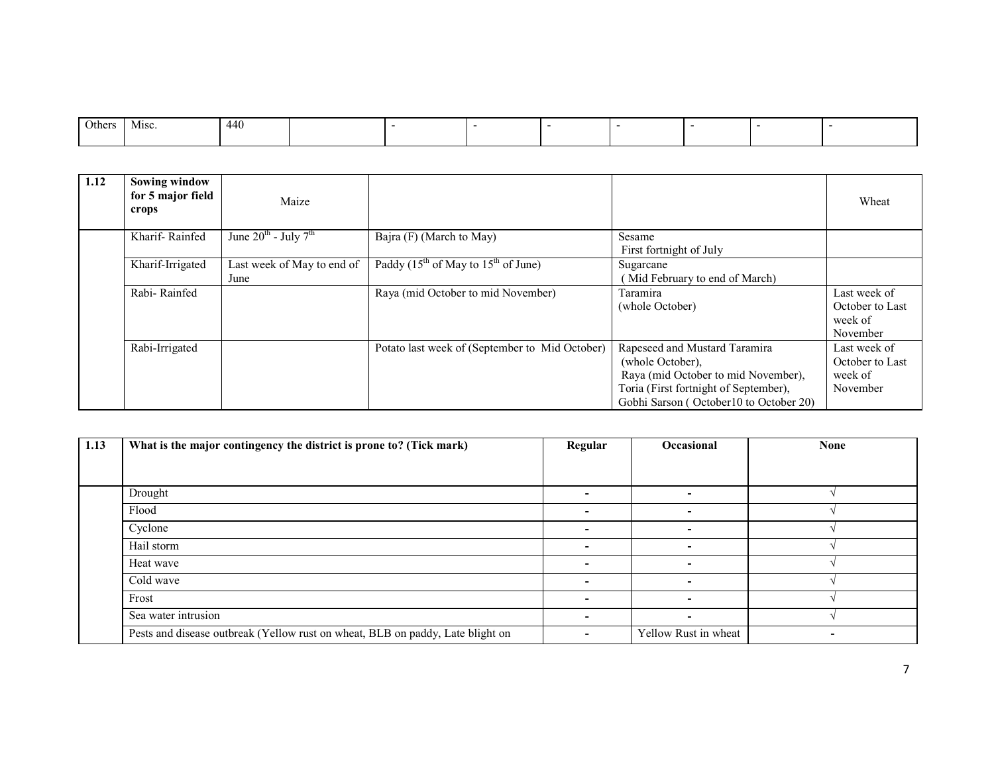| Others | Misc. | 440 |  |  |  |  |
|--------|-------|-----|--|--|--|--|
|        |       |     |  |  |  |  |

| 1.12 | <b>Sowing window</b><br>for 5 major field<br>crops | Maize                                        |                                                |                                                                                                                                                                             | Wheat                                                  |
|------|----------------------------------------------------|----------------------------------------------|------------------------------------------------|-----------------------------------------------------------------------------------------------------------------------------------------------------------------------------|--------------------------------------------------------|
|      | Kharif-Rainfed                                     | June $20^{\text{th}}$ - July $7^{\text{th}}$ | Bajra (F) (March to May)                       | Sesame<br>First fortnight of July                                                                                                                                           |                                                        |
|      | Kharif-Irrigated                                   | Last week of May to end of<br>June           | Paddy $(15^{th}$ of May to $15^{th}$ of June)  | Sugarcane<br>Mid February to end of March)                                                                                                                                  |                                                        |
|      | Rabi-Rainfed                                       |                                              | Raya (mid October to mid November)             | Taramira<br>(whole October)                                                                                                                                                 | Last week of<br>October to Last<br>week of<br>November |
|      | Rabi-Irrigated                                     |                                              | Potato last week of (September to Mid October) | Rapeseed and Mustard Taramira<br>(whole October).<br>Raya (mid October to mid November),<br>Toria (First fortnight of September),<br>Gobhi Sarson (October10 to October 20) | Last week of<br>October to Last<br>week of<br>November |

| 1.13 | What is the major contingency the district is prone to? (Tick mark)            | Regular                  | <b>Occasional</b>        | <b>None</b> |
|------|--------------------------------------------------------------------------------|--------------------------|--------------------------|-------------|
|      |                                                                                |                          |                          |             |
|      |                                                                                |                          |                          |             |
|      | Drought                                                                        | $\overline{\phantom{0}}$ | $\overline{\phantom{0}}$ |             |
|      | Flood                                                                          | $\overline{\phantom{0}}$ | ٠                        |             |
|      | Cyclone                                                                        | $\overline{\phantom{a}}$ | $\overline{\phantom{0}}$ |             |
|      | Hail storm                                                                     | $\sim$                   | ۰                        |             |
|      | Heat wave                                                                      | $\overline{\phantom{a}}$ | ۰                        |             |
|      | Cold wave                                                                      | $\overline{\phantom{a}}$ | $\overline{\phantom{0}}$ |             |
|      | Frost                                                                          | ۰.                       | ۰                        |             |
|      | Sea water intrusion                                                            | $\overline{\phantom{a}}$ | $\overline{\phantom{0}}$ |             |
|      | Pests and disease outbreak (Yellow rust on wheat, BLB on paddy, Late blight on | ۰.                       | Yellow Rust in wheat     |             |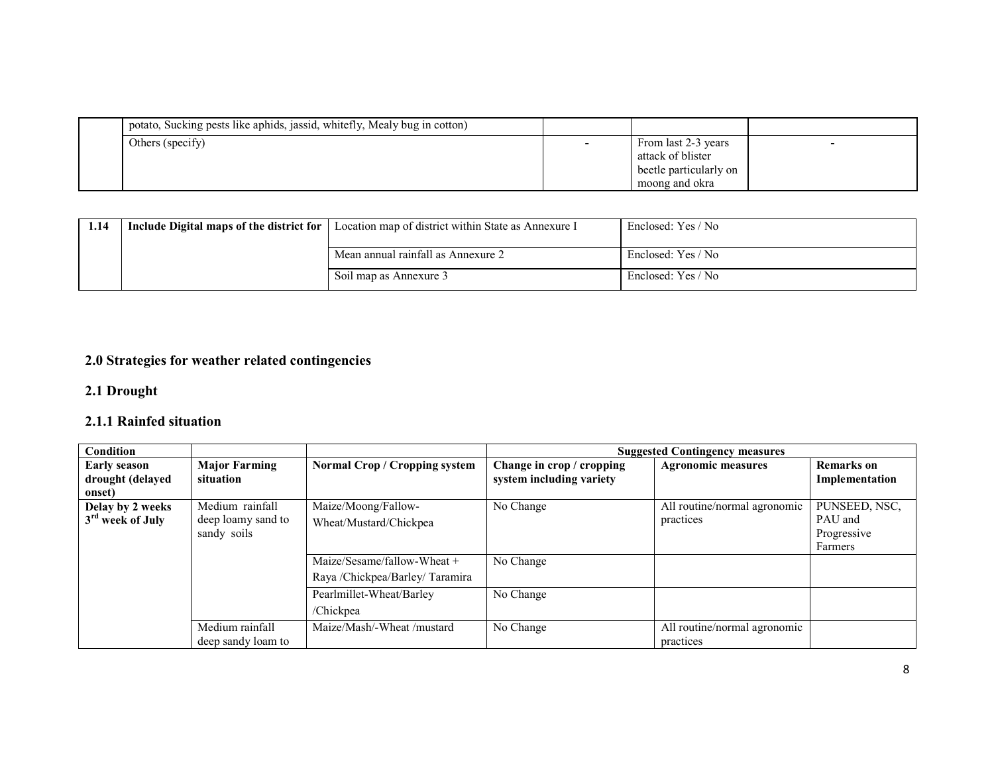| potato, Sucking pests like aphids, jassid, whitefly, Mealy bug in cotton) |                                                                                      |  |
|---------------------------------------------------------------------------|--------------------------------------------------------------------------------------|--|
| Others (specify)                                                          | From last 2-3 years<br>attack of blister<br>beetle particularly on<br>moong and okra |  |

| 1.14 | Include Digital maps of the district for | Location map of district within State as Annexure I | Enclosed: Yes / No |
|------|------------------------------------------|-----------------------------------------------------|--------------------|
|      |                                          | Mean annual rainfall as Annexure 2                  | Enclosed: Yes / No |
|      |                                          | Soil map as Annexure 3                              | Enclosed: Yes / No |

# 2.0 Strategies for weather related contingencies

### 2.1 Drought

## 2.1.1 Rainfed situation

| Condition                                         |                                                      |                                                                                             |                                                       | <b>Suggested Contingency measures</b>     |                                                    |
|---------------------------------------------------|------------------------------------------------------|---------------------------------------------------------------------------------------------|-------------------------------------------------------|-------------------------------------------|----------------------------------------------------|
| <b>Early season</b><br>drought (delayed<br>onset) | <b>Major Farming</b><br>situation                    | Normal Crop / Cropping system                                                               | Change in crop / cropping<br>system including variety | <b>Agronomic measures</b>                 | <b>Remarks</b> on<br>Implementation                |
| Delay by 2 weeks<br>3 <sup>rd</sup> week of July  | Medium rainfall<br>deep loamy sand to<br>sandy soils | Maize/Moong/Fallow-<br>Wheat/Mustard/Chickpea                                               | No Change                                             | All routine/normal agronomic<br>practices | PUNSEED, NSC,<br>PAU and<br>Progressive<br>Farmers |
|                                                   |                                                      | Maize/Sesame/fallow-Wheat $+$<br>Raya /Chickpea/Barley/Taramira<br>Pearlmillet-Wheat/Barley | No Change<br>No Change                                |                                           |                                                    |
|                                                   | Medium rainfall<br>deep sandy loam to                | /Chickpea<br>Maize/Mash/-Wheat /mustard                                                     | No Change                                             | All routine/normal agronomic<br>practices |                                                    |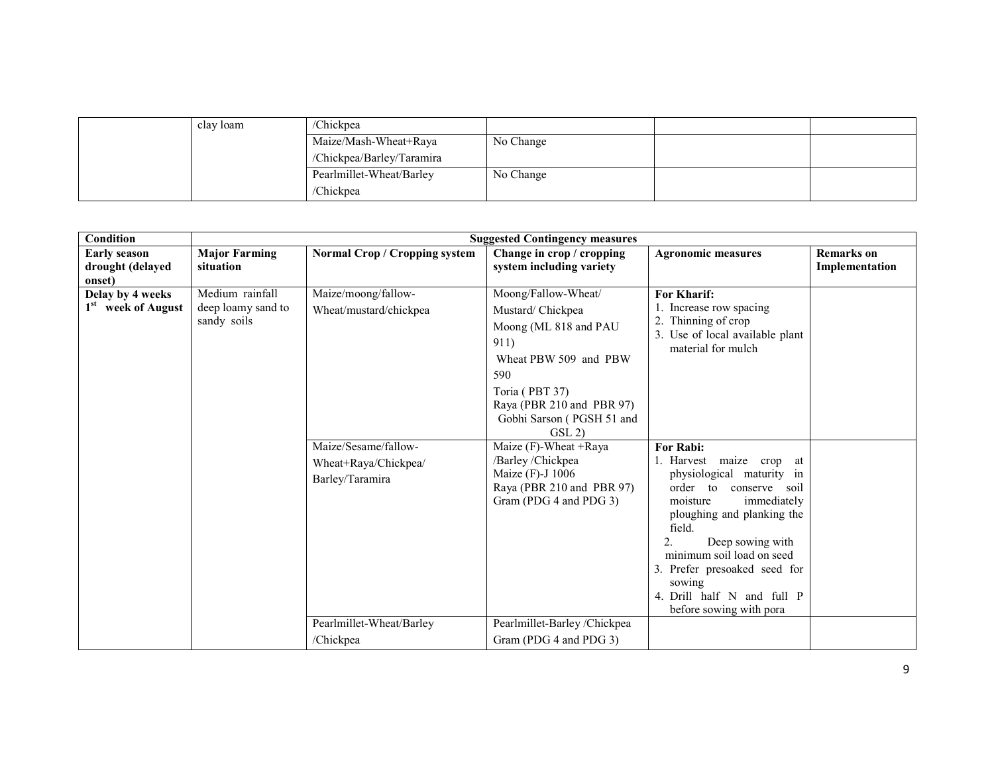| clay loam | /Chickpea                 |           |  |
|-----------|---------------------------|-----------|--|
|           | Maize/Mash-Wheat+Raya     | No Change |  |
|           | /Chickpea/Barley/Taramira |           |  |
|           | Pearlmillet-Wheat/Barley  | No Change |  |
|           | /Chickpea                 |           |  |

| Condition                                          |                                                      |                                                                 | <b>Suggested Contingency measures</b>                                                                                                                                                          |                                                                                                                                                                                                                                                                                                                                 |                                     |
|----------------------------------------------------|------------------------------------------------------|-----------------------------------------------------------------|------------------------------------------------------------------------------------------------------------------------------------------------------------------------------------------------|---------------------------------------------------------------------------------------------------------------------------------------------------------------------------------------------------------------------------------------------------------------------------------------------------------------------------------|-------------------------------------|
| <b>Early season</b><br>drought (delayed<br>onset)  | <b>Major Farming</b><br>situation                    | <b>Normal Crop / Cropping system</b>                            | Change in crop / cropping<br>system including variety                                                                                                                                          | <b>Agronomic measures</b>                                                                                                                                                                                                                                                                                                       | <b>Remarks</b> on<br>Implementation |
| Delay by 4 weeks<br>1 <sup>st</sup> week of August | Medium rainfall<br>deep loamy sand to<br>sandy soils | Maize/moong/fallow-<br>Wheat/mustard/chickpea                   | Moong/Fallow-Wheat/<br>Mustard/Chickpea<br>Moong (ML 818 and PAU<br>911)<br>Wheat PBW 509 and PBW<br>590<br>Toria (PBT 37)<br>Raya (PBR 210 and PBR 97)<br>Gobhi Sarson (PGSH 51 and<br>GSL(2) | <b>For Kharif:</b><br>1. Increase row spacing<br>Thinning of crop<br>3. Use of local available plant<br>material for mulch                                                                                                                                                                                                      |                                     |
|                                                    |                                                      | Maize/Sesame/fallow-<br>Wheat+Raya/Chickpea/<br>Barley/Taramira | Maize (F)-Wheat +Raya<br>/Barley/Chickpea<br>Maize (F)-J 1006<br>Raya (PBR 210 and PBR 97)<br>Gram (PDG 4 and PDG 3)                                                                           | For Rabi:<br>1. Harvest maize crop at<br>physiological maturity in<br>order to<br>conserve<br>soil<br>moisture<br>immediately<br>ploughing and planking the<br>field.<br>Deep sowing with<br>2.<br>minimum soil load on seed<br>3. Prefer presoaked seed for<br>sowing<br>4. Drill half N and full P<br>before sowing with pora |                                     |
|                                                    |                                                      | Pearlmillet-Wheat/Barley<br>/Chickpea                           | Pearlmillet-Barley /Chickpea<br>Gram (PDG 4 and PDG 3)                                                                                                                                         |                                                                                                                                                                                                                                                                                                                                 |                                     |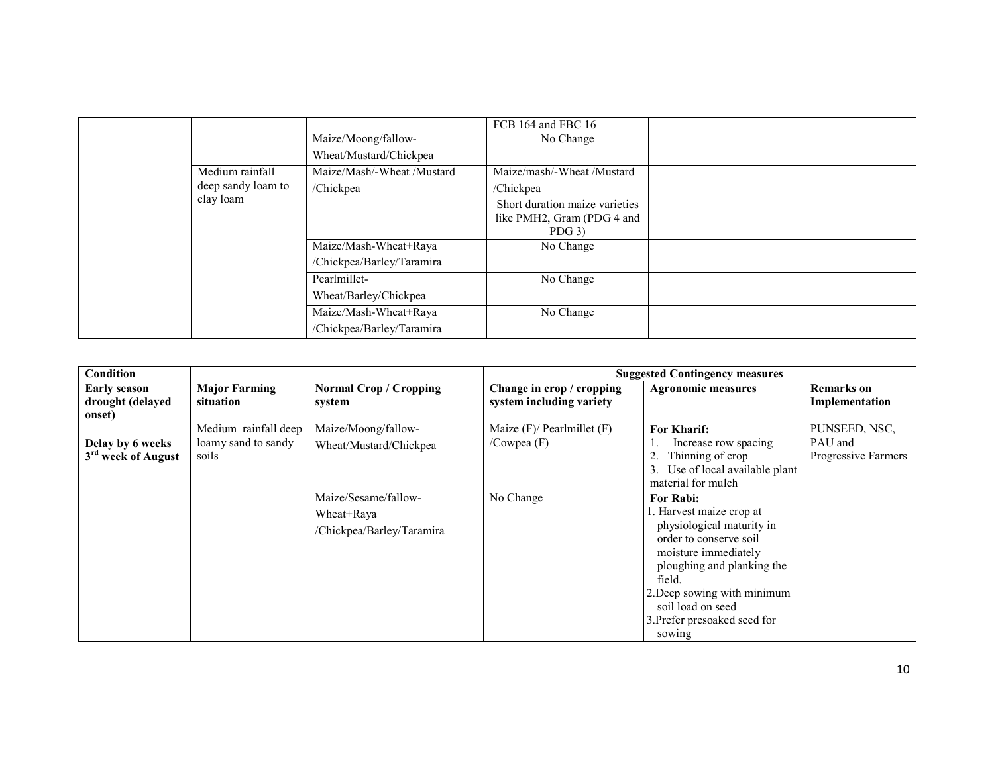|                    |                            | FCB 164 and FBC 16             |  |
|--------------------|----------------------------|--------------------------------|--|
|                    | Maize/Moong/fallow-        | No Change                      |  |
|                    | Wheat/Mustard/Chickpea     |                                |  |
| Medium rainfall    | Maize/Mash/-Wheat /Mustard | Maize/mash/-Wheat/Mustard      |  |
| deep sandy loam to | /Chickpea                  | /Chickpea                      |  |
| clay loam          |                            | Short duration maize varieties |  |
|                    |                            | like PMH2, Gram (PDG 4 and     |  |
|                    |                            | $PDG$ 3)                       |  |
|                    | Maize/Mash-Wheat+Raya      | No Change                      |  |
|                    | /Chickpea/Barley/Taramira  |                                |  |
|                    | Pearlmillet-               | No Change                      |  |
|                    | Wheat/Barley/Chickpea      |                                |  |
|                    | Maize/Mash-Wheat+Raya      | No Change                      |  |
|                    | /Chickpea/Barley/Taramira  |                                |  |

| Condition                                          |                                                      |                                                                 |                                                       | <b>Suggested Contingency measures</b>                                                                                                                                                                                                                            |                                                 |
|----------------------------------------------------|------------------------------------------------------|-----------------------------------------------------------------|-------------------------------------------------------|------------------------------------------------------------------------------------------------------------------------------------------------------------------------------------------------------------------------------------------------------------------|-------------------------------------------------|
| Early season<br>drought (delayed<br>onset)         | <b>Major Farming</b><br>situation                    | <b>Normal Crop / Cropping</b><br>system                         | Change in crop / cropping<br>system including variety | <b>Agronomic measures</b>                                                                                                                                                                                                                                        | <b>Remarks on</b><br>Implementation             |
| Delay by 6 weeks<br>3 <sup>rd</sup> week of August | Medium rainfall deep<br>loamy sand to sandy<br>soils | Maize/Moong/fallow-<br>Wheat/Mustard/Chickpea                   | Maize $(F)$ / Pearlmillet $(F)$<br>/Cowpea $(F)$      | <b>For Kharif:</b><br>Increase row spacing<br>Thinning of crop<br>Use of local available plant<br>3.<br>material for mulch                                                                                                                                       | PUNSEED, NSC,<br>PAU and<br>Progressive Farmers |
|                                                    |                                                      | Maize/Sesame/fallow-<br>Wheat+Raya<br>/Chickpea/Barley/Taramira | No Change                                             | <b>For Rabi:</b><br>. Harvest maize crop at<br>physiological maturity in<br>order to conserve soil<br>moisture immediately<br>ploughing and planking the<br>field.<br>2. Deep sowing with minimum<br>soil load on seed<br>3. Prefer presoaked seed for<br>sowing |                                                 |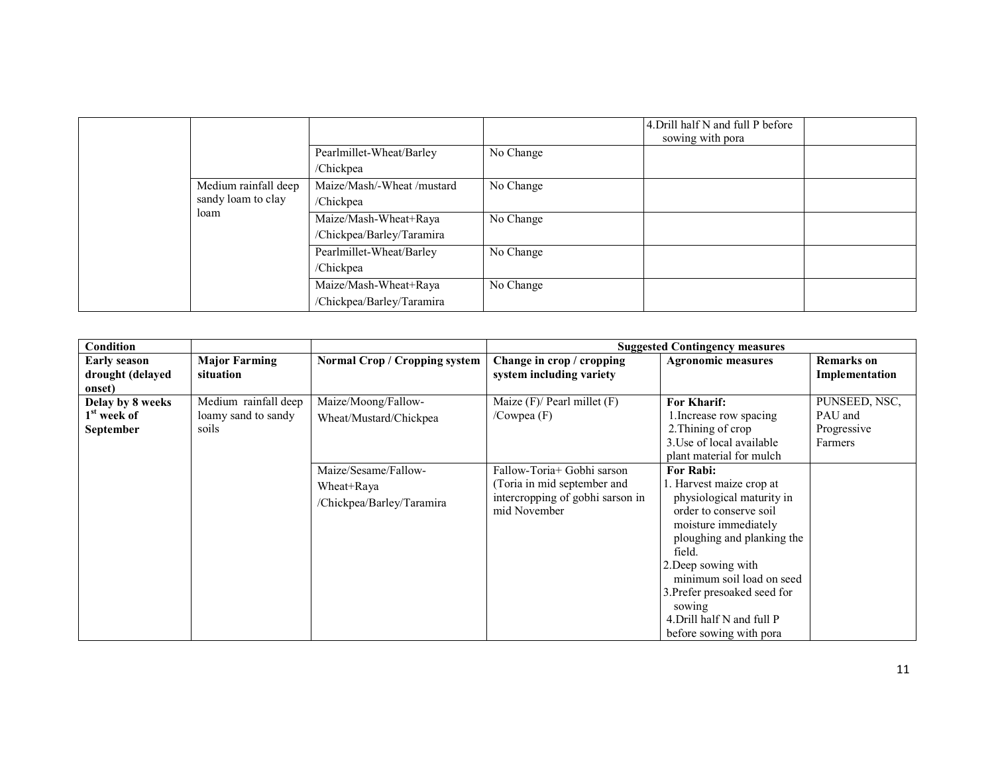|                      |                            |           | 4. Drill half N and full P before<br>sowing with pora |  |
|----------------------|----------------------------|-----------|-------------------------------------------------------|--|
|                      | Pearlmillet-Wheat/Barley   | No Change |                                                       |  |
|                      | /Chickpea                  |           |                                                       |  |
| Medium rainfall deep | Maize/Mash/-Wheat /mustard | No Change |                                                       |  |
| sandy loam to clay   | /Chickpea                  |           |                                                       |  |
| loam                 | Maize/Mash-Wheat+Raya      | No Change |                                                       |  |
|                      | /Chickpea/Barley/Taramira  |           |                                                       |  |
|                      | Pearlmillet-Wheat/Barley   | No Change |                                                       |  |
|                      | /Chickpea                  |           |                                                       |  |
|                      | Maize/Mash-Wheat+Raya      | No Change |                                                       |  |
|                      | /Chickpea/Barley/Taramira  |           |                                                       |  |

| Condition                                                |                                                      |                                                                 |                                                                                                              | <b>Suggested Contingency measures</b>                                                                                                                                                                                                                                                                               |                                                    |
|----------------------------------------------------------|------------------------------------------------------|-----------------------------------------------------------------|--------------------------------------------------------------------------------------------------------------|---------------------------------------------------------------------------------------------------------------------------------------------------------------------------------------------------------------------------------------------------------------------------------------------------------------------|----------------------------------------------------|
| Early season<br>drought (delayed<br>onset)               | <b>Major Farming</b><br>situation                    | <b>Normal Crop / Cropping system</b>                            | Change in crop / cropping<br>system including variety                                                        | <b>Agronomic measures</b>                                                                                                                                                                                                                                                                                           | <b>Remarks</b> on<br>Implementation                |
| Delay by 8 weeks<br>1 <sup>st</sup> week of<br>September | Medium rainfall deep<br>loamy sand to sandy<br>soils | Maize/Moong/Fallow-<br>Wheat/Mustard/Chickpea                   | Maize (F)/ Pearl millet (F)<br>/Cowpea (F)                                                                   | For Kharif:<br>1. Increase row spacing<br>2. Thining of crop<br>3. Use of local available<br>plant material for mulch                                                                                                                                                                                               | PUNSEED, NSC,<br>PAU and<br>Progressive<br>Farmers |
|                                                          |                                                      | Maize/Sesame/Fallow-<br>Wheat+Raya<br>/Chickpea/Barley/Taramira | Fallow-Toria+ Gobhi sarson<br>Toria in mid september and<br>intercropping of gobhi sarson in<br>mid November | For Rabi:<br>1. Harvest maize crop at<br>physiological maturity in<br>order to conserve soil<br>moisture immediately<br>ploughing and planking the<br>field.<br>2. Deep sowing with<br>minimum soil load on seed<br>3. Prefer presoaked seed for<br>sowing<br>4. Drill half N and full P<br>before sowing with pora |                                                    |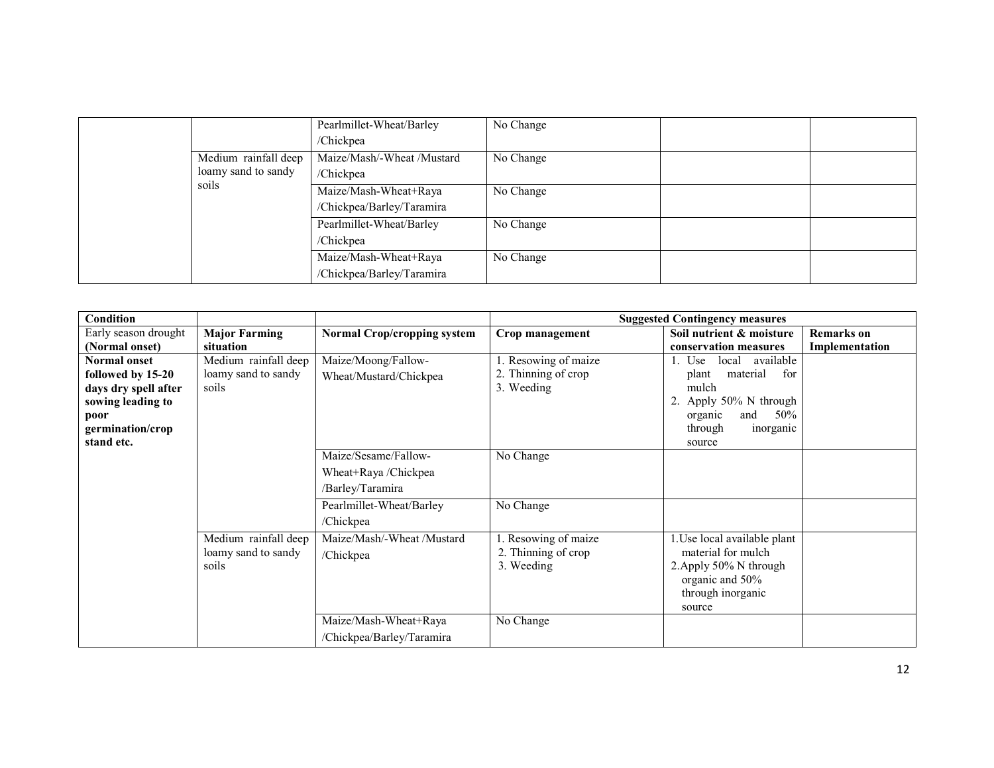|                     |                      | Pearlmillet-Wheat/Barley   | No Change |  |
|---------------------|----------------------|----------------------------|-----------|--|
|                     |                      | /Chickpea                  |           |  |
|                     | Medium rainfall deep | Maize/Mash/-Wheat /Mustard | No Change |  |
| loamy sand to sandy |                      | /Chickpea                  |           |  |
|                     | soils                | Maize/Mash-Wheat+Raya      | No Change |  |
|                     |                      | /Chickpea/Barley/Taramira  |           |  |
|                     |                      | Pearlmillet-Wheat/Barley   | No Change |  |
|                     |                      | /Chickpea                  |           |  |
|                     |                      | Maize/Mash-Wheat+Raya      | No Change |  |
|                     |                      | /Chickpea/Barley/Taramira  |           |  |

| Condition            |                      |                                    |                     | <b>Suggested Contingency measures</b> |                   |
|----------------------|----------------------|------------------------------------|---------------------|---------------------------------------|-------------------|
| Early season drought | <b>Major Farming</b> | <b>Normal Crop/cropping system</b> | Crop management     | Soil nutrient & moisture              | <b>Remarks</b> on |
| (Normal onset)       | situation            |                                    |                     | conservation measures                 | Implementation    |
| <b>Normal onset</b>  | Medium rainfall deep | Maize/Moong/Fallow-                | Resowing of maize   | available<br>local<br>Use             |                   |
| followed by 15-20    | loamy sand to sandy  | Wheat/Mustard/Chickpea             | 2. Thinning of crop | material<br>for<br>plant              |                   |
| days dry spell after | soils                |                                    | 3. Weeding          | mulch                                 |                   |
| sowing leading to    |                      |                                    |                     | Apply 50% N through                   |                   |
| poor                 |                      |                                    |                     | and<br>50%<br>organic                 |                   |
| germination/crop     |                      |                                    |                     | through<br>inorganic                  |                   |
| stand etc.           |                      |                                    |                     | source                                |                   |
|                      |                      | Maize/Sesame/Fallow-               | No Change           |                                       |                   |
|                      |                      | Wheat+Raya /Chickpea               |                     |                                       |                   |
|                      |                      | /Barley/Taramira                   |                     |                                       |                   |
|                      |                      | Pearlmillet-Wheat/Barley           | No Change           |                                       |                   |
|                      |                      | /Chickpea                          |                     |                                       |                   |
|                      | Medium rainfall deep | Maize/Mash/-Wheat /Mustard         | . Resowing of maize | Use local available plant             |                   |
|                      | loamy sand to sandy  | /Chickpea                          | 2. Thinning of crop | material for mulch                    |                   |
|                      | soils                |                                    | 3. Weeding          | 2. Apply 50% N through                |                   |
|                      |                      |                                    |                     | organic and 50%                       |                   |
|                      |                      |                                    |                     | through inorganic                     |                   |
|                      |                      |                                    |                     | source                                |                   |
|                      |                      | Maize/Mash-Wheat+Raya              | No Change           |                                       |                   |
|                      |                      | /Chickpea/Barley/Taramira          |                     |                                       |                   |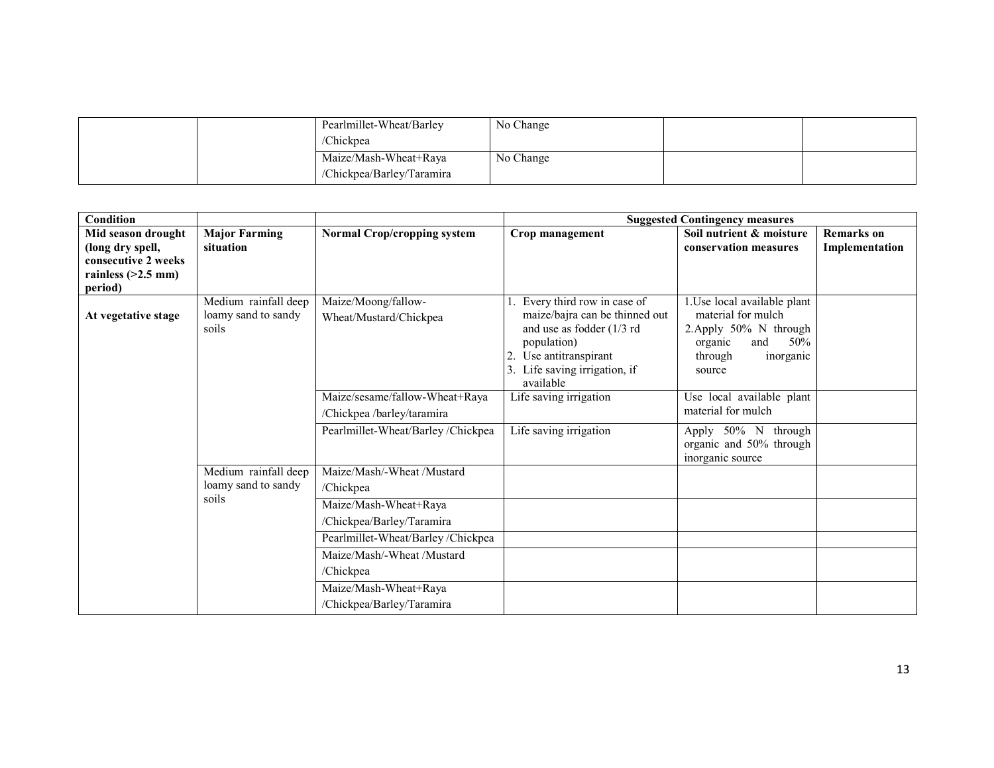|  | Pearlmillet-Wheat/Barley  | No Change |  |
|--|---------------------------|-----------|--|
|  | /Chickpea                 |           |  |
|  | Maize/Mash-Wheat+Raya     | No Change |  |
|  | /Chickpea/Barley/Taramira |           |  |

| Condition                       |                                                      |                                                    |                                                                                                                                                               | <b>Suggested Contingency measures</b>                                                                                                   |                   |
|---------------------------------|------------------------------------------------------|----------------------------------------------------|---------------------------------------------------------------------------------------------------------------------------------------------------------------|-----------------------------------------------------------------------------------------------------------------------------------------|-------------------|
| Mid season drought              | <b>Major Farming</b>                                 | <b>Normal Crop/cropping system</b>                 | Crop management                                                                                                                                               | Soil nutrient & moisture                                                                                                                | <b>Remarks</b> on |
| (long dry spell,                | situation                                            |                                                    |                                                                                                                                                               | conservation measures                                                                                                                   | Implementation    |
| consecutive 2 weeks             |                                                      |                                                    |                                                                                                                                                               |                                                                                                                                         |                   |
| rainless $(>2.5$ mm)<br>period) |                                                      |                                                    |                                                                                                                                                               |                                                                                                                                         |                   |
| At vegetative stage             | Medium rainfall deep<br>loamy sand to sandy<br>soils | Maize/Moong/fallow-<br>Wheat/Mustard/Chickpea      | Every third row in case of<br>maize/bajra can be thinned out<br>and use as fodder (1/3 rd<br>population)<br>Use antitranspirant<br>Life saving irrigation, if | 1. Use local available plant<br>material for mulch<br>2. Apply 50% N through<br>organic<br>50%<br>and<br>through<br>inorganic<br>source |                   |
|                                 |                                                      | Maize/sesame/fallow-Wheat+Raya                     | available<br>Life saving irrigation                                                                                                                           | Use local available plant                                                                                                               |                   |
|                                 |                                                      | /Chickpea /barley/taramira                         |                                                                                                                                                               | material for mulch                                                                                                                      |                   |
|                                 |                                                      | Pearlmillet-Wheat/Barley/Chickpea                  | Life saving irrigation                                                                                                                                        | Apply 50% N through<br>organic and 50% through<br>inorganic source                                                                      |                   |
|                                 | Medium rainfall deep                                 | Maize/Mash/-Wheat /Mustard                         |                                                                                                                                                               |                                                                                                                                         |                   |
|                                 | loamy sand to sandy                                  | /Chickpea                                          |                                                                                                                                                               |                                                                                                                                         |                   |
|                                 | soils                                                | Maize/Mash-Wheat+Raya                              |                                                                                                                                                               |                                                                                                                                         |                   |
|                                 |                                                      | /Chickpea/Barley/Taramira                          |                                                                                                                                                               |                                                                                                                                         |                   |
|                                 |                                                      | Pearlmillet-Wheat/Barley/Chickpea                  |                                                                                                                                                               |                                                                                                                                         |                   |
|                                 |                                                      | Maize/Mash/-Wheat /Mustard                         |                                                                                                                                                               |                                                                                                                                         |                   |
|                                 |                                                      | /Chickpea                                          |                                                                                                                                                               |                                                                                                                                         |                   |
|                                 |                                                      | Maize/Mash-Wheat+Raya<br>/Chickpea/Barley/Taramira |                                                                                                                                                               |                                                                                                                                         |                   |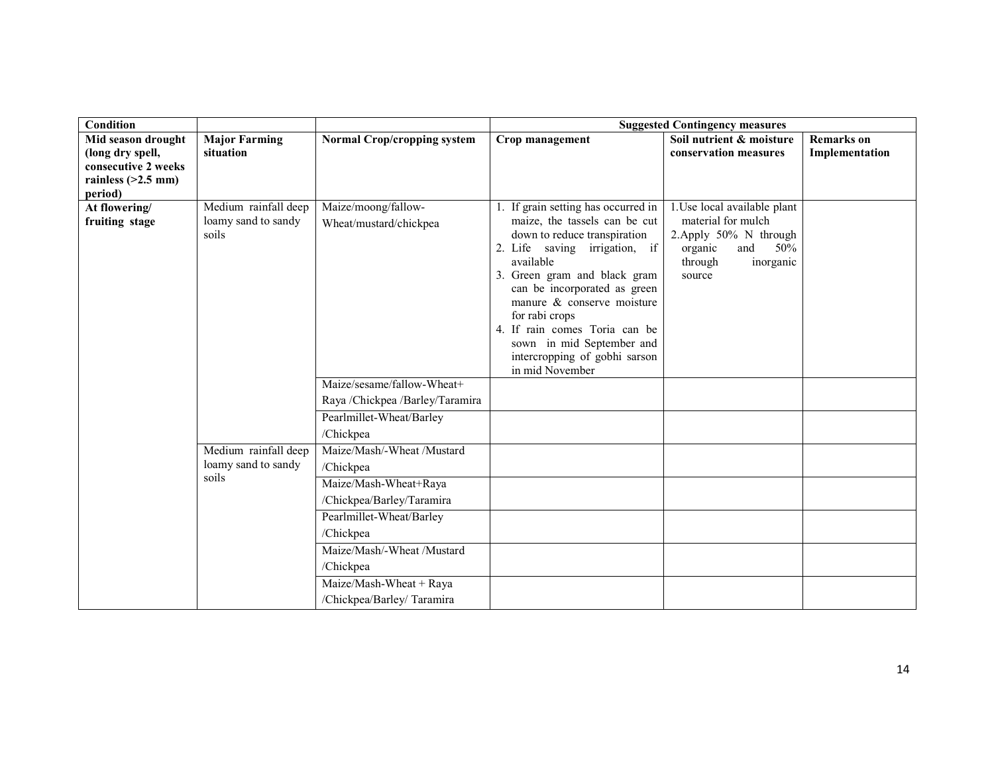| <b>Condition</b>         |                      |                                    |                                              | <b>Suggested Contingency measures</b> |                   |
|--------------------------|----------------------|------------------------------------|----------------------------------------------|---------------------------------------|-------------------|
| Mid season drought       | <b>Major Farming</b> | <b>Normal Crop/cropping system</b> | Crop management                              | Soil nutrient & moisture              | <b>Remarks</b> on |
| (long dry spell,         | situation            |                                    |                                              | conservation measures                 | Implementation    |
| consecutive 2 weeks      |                      |                                    |                                              |                                       |                   |
| rainless $(>2.5$ mm)     |                      |                                    |                                              |                                       |                   |
| period)<br>At flowering/ | Medium rainfall deep | Maize/moong/fallow-                | 1. If grain setting has occurred in          | 1. Use local available plant          |                   |
| fruiting stage           | loamy sand to sandy  | Wheat/mustard/chickpea             | maize, the tassels can be cut                | material for mulch                    |                   |
|                          | soils                |                                    | down to reduce transpiration                 | 2. Apply 50% N through                |                   |
|                          |                      |                                    | 2. Life saving irrigation, if                | and<br>organic<br>50%                 |                   |
|                          |                      |                                    | available                                    | through<br>inorganic                  |                   |
|                          |                      |                                    | 3. Green gram and black gram                 | source                                |                   |
|                          |                      |                                    | can be incorporated as green                 |                                       |                   |
|                          |                      |                                    | manure & conserve moisture<br>for rabi crops |                                       |                   |
|                          |                      |                                    | 4. If rain comes Toria can be                |                                       |                   |
|                          |                      |                                    | sown in mid September and                    |                                       |                   |
|                          |                      |                                    | intercropping of gobhi sarson                |                                       |                   |
|                          |                      |                                    | in mid November                              |                                       |                   |
|                          |                      | Maize/sesame/fallow-Wheat+         |                                              |                                       |                   |
|                          |                      | Raya /Chickpea /Barley/Taramira    |                                              |                                       |                   |
|                          |                      | Pearlmillet-Wheat/Barley           |                                              |                                       |                   |
|                          |                      | /Chickpea                          |                                              |                                       |                   |
|                          | Medium rainfall deep | Maize/Mash/-Wheat /Mustard         |                                              |                                       |                   |
|                          | loamy sand to sandy  | /Chickpea                          |                                              |                                       |                   |
|                          | soils                | Maize/Mash-Wheat+Raya              |                                              |                                       |                   |
|                          |                      | /Chickpea/Barley/Taramira          |                                              |                                       |                   |
|                          |                      | Pearlmillet-Wheat/Barley           |                                              |                                       |                   |
|                          |                      | /Chickpea                          |                                              |                                       |                   |
|                          |                      | Maize/Mash/-Wheat /Mustard         |                                              |                                       |                   |
|                          |                      | /Chickpea                          |                                              |                                       |                   |
|                          |                      | Maize/Mash-Wheat + Raya            |                                              |                                       |                   |
|                          |                      | /Chickpea/Barley/ Taramira         |                                              |                                       |                   |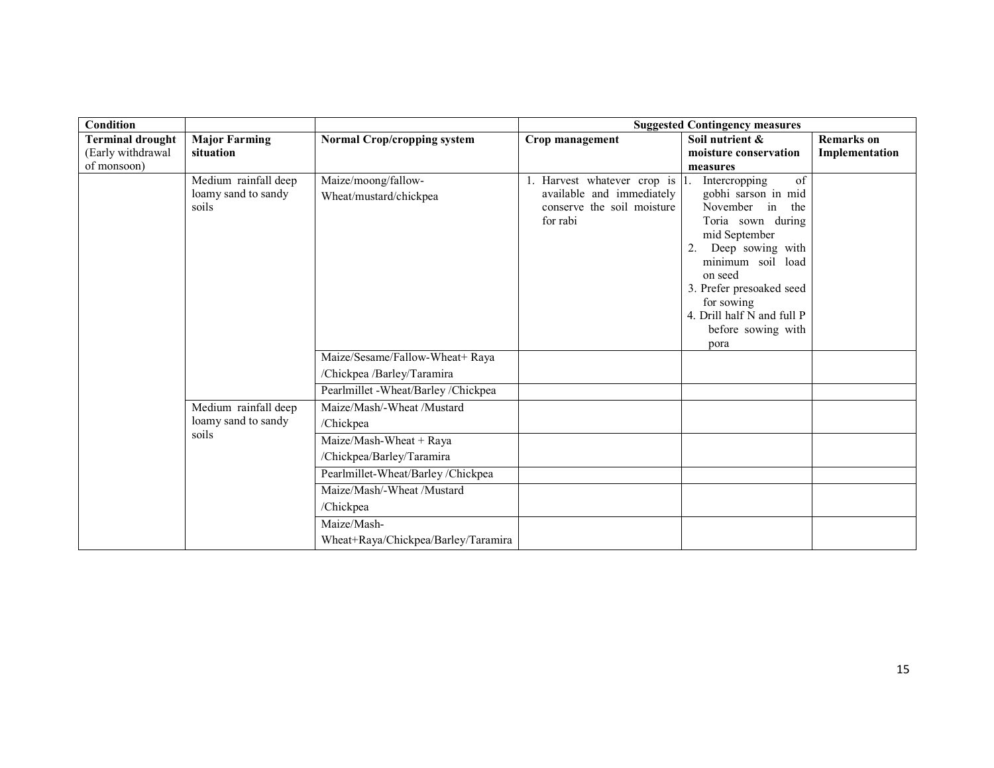| <b>Condition</b>        |                                                      |                                               |                                                                                                       | <b>Suggested Contingency measures</b>                                                                                                                                                                                                                               |                   |
|-------------------------|------------------------------------------------------|-----------------------------------------------|-------------------------------------------------------------------------------------------------------|---------------------------------------------------------------------------------------------------------------------------------------------------------------------------------------------------------------------------------------------------------------------|-------------------|
| <b>Terminal drought</b> | <b>Major Farming</b>                                 | <b>Normal Crop/cropping system</b>            | Crop management                                                                                       | Soil nutrient &                                                                                                                                                                                                                                                     | <b>Remarks</b> on |
| (Early withdrawal       | situation                                            |                                               |                                                                                                       | moisture conservation                                                                                                                                                                                                                                               | Implementation    |
| of monsoon)             |                                                      |                                               |                                                                                                       | measures                                                                                                                                                                                                                                                            |                   |
|                         | Medium rainfall deep<br>loamy sand to sandy<br>soils | Maize/moong/fallow-<br>Wheat/mustard/chickpea | 1. Harvest whatever crop is 1.<br>available and immediately<br>conserve the soil moisture<br>for rabi | of<br>Intercropping<br>gobhi sarson in mid<br>November in the<br>Toria sown during<br>mid September<br>Deep sowing with<br>2.<br>minimum soil load<br>on seed<br>3. Prefer presoaked seed<br>for sowing<br>4. Drill half N and full P<br>before sowing with<br>pora |                   |
|                         |                                                      | Maize/Sesame/Fallow-Wheat+ Raya               |                                                                                                       |                                                                                                                                                                                                                                                                     |                   |
|                         |                                                      | /Chickpea /Barley/Taramira                    |                                                                                                       |                                                                                                                                                                                                                                                                     |                   |
|                         |                                                      | Pearlmillet -Wheat/Barley /Chickpea           |                                                                                                       |                                                                                                                                                                                                                                                                     |                   |
|                         | Medium rainfall deep                                 | Maize/Mash/-Wheat /Mustard                    |                                                                                                       |                                                                                                                                                                                                                                                                     |                   |
|                         | loamy sand to sandy                                  | /Chickpea                                     |                                                                                                       |                                                                                                                                                                                                                                                                     |                   |
|                         | soils                                                | Maize/Mash-Wheat + Raya                       |                                                                                                       |                                                                                                                                                                                                                                                                     |                   |
|                         |                                                      | /Chickpea/Barley/Taramira                     |                                                                                                       |                                                                                                                                                                                                                                                                     |                   |
|                         |                                                      | Pearlmillet-Wheat/Barley/Chickpea             |                                                                                                       |                                                                                                                                                                                                                                                                     |                   |
|                         |                                                      | Maize/Mash/-Wheat /Mustard                    |                                                                                                       |                                                                                                                                                                                                                                                                     |                   |
|                         |                                                      | /Chickpea                                     |                                                                                                       |                                                                                                                                                                                                                                                                     |                   |
|                         |                                                      | Maize/Mash-                                   |                                                                                                       |                                                                                                                                                                                                                                                                     |                   |
|                         |                                                      | Wheat+Raya/Chickpea/Barley/Taramira           |                                                                                                       |                                                                                                                                                                                                                                                                     |                   |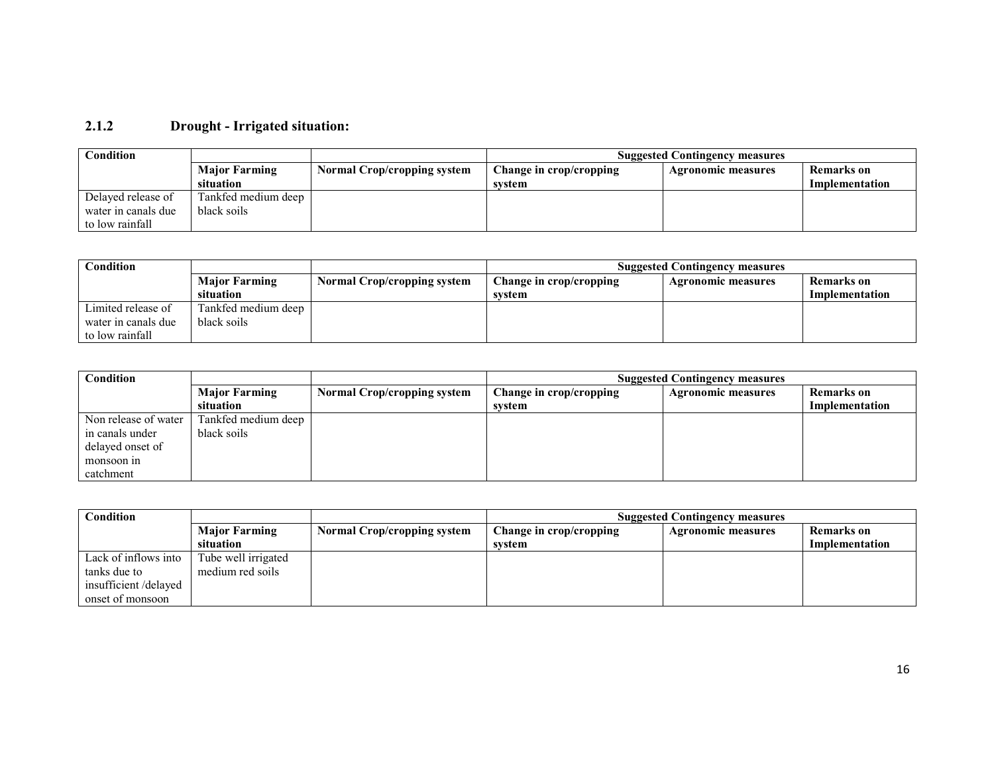# 2.1.2 Drought - Irrigated situation:

| Condition           |                      |                                    | <b>Suggested Contingency measures</b> |                           |                |
|---------------------|----------------------|------------------------------------|---------------------------------------|---------------------------|----------------|
|                     | <b>Major Farming</b> | <b>Normal Crop/cropping system</b> | Change in crop/cropping               | <b>Agronomic measures</b> | Remarks on     |
|                     | situation            |                                    | system                                |                           | Implementation |
| Delayed release of  | Tankfed medium deep  |                                    |                                       |                           |                |
| water in canals due | black soils          |                                    |                                       |                           |                |
| to low rainfall     |                      |                                    |                                       |                           |                |

| Condition           | <b>Suggested Contingency measures</b> |                                    |                         |                           |                |
|---------------------|---------------------------------------|------------------------------------|-------------------------|---------------------------|----------------|
|                     | <b>Major Farming</b>                  | <b>Normal Crop/cropping system</b> | Change in crop/cropping | <b>Agronomic measures</b> | Remarks on     |
|                     | <i>situation</i>                      |                                    | system                  |                           | Implementation |
| Limited release of  | Tankfed medium deep                   |                                    |                         |                           |                |
| water in canals due | black soils                           |                                    |                         |                           |                |
| to low rainfall     |                                       |                                    |                         |                           |                |

| Condition            |                      |                                    | <b>Suggested Contingency measures</b>                              |  |                |
|----------------------|----------------------|------------------------------------|--------------------------------------------------------------------|--|----------------|
|                      | <b>Major Farming</b> | <b>Normal Crop/cropping system</b> | Change in crop/cropping<br>Remarks on<br><b>Agronomic measures</b> |  |                |
|                      | situation            |                                    | system                                                             |  | Implementation |
| Non release of water | Tankfed medium deep  |                                    |                                                                    |  |                |
| in canals under      | black soils          |                                    |                                                                    |  |                |
| delayed onset of     |                      |                                    |                                                                    |  |                |
| monsoon in           |                      |                                    |                                                                    |  |                |
| catchment            |                      |                                    |                                                                    |  |                |

| Condition            |                      |                                    | <b>Suggested Contingency measures</b>                              |  |                |
|----------------------|----------------------|------------------------------------|--------------------------------------------------------------------|--|----------------|
|                      | <b>Major Farming</b> | <b>Normal Crop/cropping system</b> | Change in crop/cropping<br>Remarks on<br><b>Agronomic measures</b> |  |                |
|                      | situation            |                                    | svstem                                                             |  | Implementation |
| Lack of inflows into | Tube well irrigated  |                                    |                                                                    |  |                |
| tanks due to         | medium red soils     |                                    |                                                                    |  |                |
| insufficient/delayed |                      |                                    |                                                                    |  |                |
| onset of monsoon     |                      |                                    |                                                                    |  |                |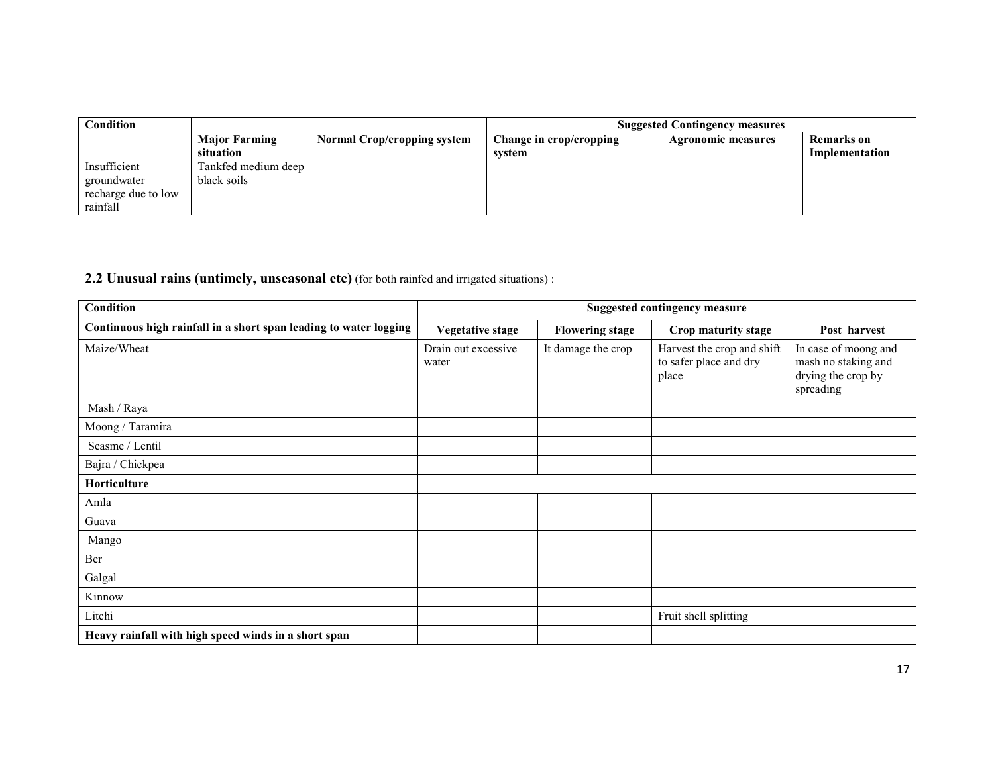| $\mathbf{Condition}$ |                      |                                    | <b>Suggested Contingency measures</b> |                           |                |  |
|----------------------|----------------------|------------------------------------|---------------------------------------|---------------------------|----------------|--|
|                      | <b>Major Farming</b> | <b>Normal Crop/cropping system</b> | Change in crop/cropping               | <b>Agronomic measures</b> | Remarks on     |  |
|                      | situation            |                                    | svstem                                |                           | Implementation |  |
| Insufficient         | Tankfed medium deep  |                                    |                                       |                           |                |  |
| groundwater          | black soils          |                                    |                                       |                           |                |  |
| recharge due to low  |                      |                                    |                                       |                           |                |  |
| rainfall             |                      |                                    |                                       |                           |                |  |

#### **2.2 Unusual rains (untimely, unseasonal etc)** (for both rainfed and irrigated situations) :

| Condition                                                         |                              |                        | <b>Suggested contingency measure</b>                          |                                                                                |
|-------------------------------------------------------------------|------------------------------|------------------------|---------------------------------------------------------------|--------------------------------------------------------------------------------|
| Continuous high rainfall in a short span leading to water logging | <b>Vegetative stage</b>      | <b>Flowering stage</b> | Crop maturity stage                                           | Post harvest                                                                   |
| Maize/Wheat                                                       | Drain out excessive<br>water | It damage the crop     | Harvest the crop and shift<br>to safer place and dry<br>place | In case of moong and<br>mash no staking and<br>drying the crop by<br>spreading |
| Mash / Raya                                                       |                              |                        |                                                               |                                                                                |
| Moong / Taramira                                                  |                              |                        |                                                               |                                                                                |
| Seasme / Lentil                                                   |                              |                        |                                                               |                                                                                |
| Bajra / Chickpea                                                  |                              |                        |                                                               |                                                                                |
| Horticulture                                                      |                              |                        |                                                               |                                                                                |
| Amla                                                              |                              |                        |                                                               |                                                                                |
| Guava                                                             |                              |                        |                                                               |                                                                                |
| Mango                                                             |                              |                        |                                                               |                                                                                |
| Ber                                                               |                              |                        |                                                               |                                                                                |
| Galgal                                                            |                              |                        |                                                               |                                                                                |
| Kinnow                                                            |                              |                        |                                                               |                                                                                |
| Litchi                                                            |                              |                        | Fruit shell splitting                                         |                                                                                |
| Heavy rainfall with high speed winds in a short span              |                              |                        |                                                               |                                                                                |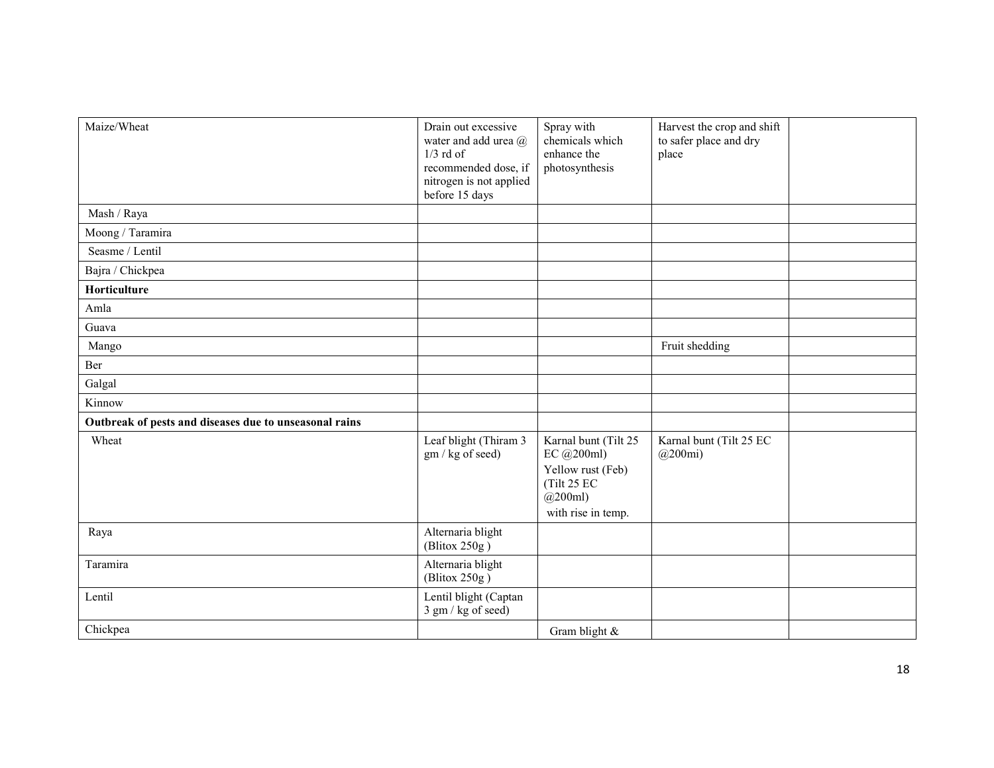| Maize/Wheat                                            | Drain out excessive<br>water and add urea @<br>$1/3$ rd of<br>recommended dose, if<br>nitrogen is not applied<br>before 15 days | Spray with<br>chemicals which<br>enhance the<br>photosynthesis                                               | Harvest the crop and shift<br>to safer place and dry<br>place |  |
|--------------------------------------------------------|---------------------------------------------------------------------------------------------------------------------------------|--------------------------------------------------------------------------------------------------------------|---------------------------------------------------------------|--|
| Mash / Raya                                            |                                                                                                                                 |                                                                                                              |                                                               |  |
| Moong / Taramira                                       |                                                                                                                                 |                                                                                                              |                                                               |  |
| Seasme / Lentil                                        |                                                                                                                                 |                                                                                                              |                                                               |  |
| Bajra / Chickpea                                       |                                                                                                                                 |                                                                                                              |                                                               |  |
| Horticulture                                           |                                                                                                                                 |                                                                                                              |                                                               |  |
| Amla                                                   |                                                                                                                                 |                                                                                                              |                                                               |  |
| Guava                                                  |                                                                                                                                 |                                                                                                              |                                                               |  |
| Mango                                                  |                                                                                                                                 |                                                                                                              | Fruit shedding                                                |  |
| Ber                                                    |                                                                                                                                 |                                                                                                              |                                                               |  |
| Galgal                                                 |                                                                                                                                 |                                                                                                              |                                                               |  |
| Kinnow                                                 |                                                                                                                                 |                                                                                                              |                                                               |  |
| Outbreak of pests and diseases due to unseasonal rains |                                                                                                                                 |                                                                                                              |                                                               |  |
| Wheat                                                  | Leaf blight (Thiram 3<br>gm / kg of seed)                                                                                       | Karnal bunt (Tilt 25<br>EC @200ml)<br>Yellow rust (Feb)<br>(Tilt 25 EC<br>$(a)$ 200ml)<br>with rise in temp. | Karnal bunt (Tilt 25 EC<br>$(a)$ 200mi)                       |  |
| Raya                                                   | Alternaria blight<br>(Blitox 250g)                                                                                              |                                                                                                              |                                                               |  |
| Taramira                                               | Alternaria blight<br>(Blitox 250g)                                                                                              |                                                                                                              |                                                               |  |
| Lentil                                                 | Lentil blight (Captan<br>3 gm / kg of seed)                                                                                     |                                                                                                              |                                                               |  |
| Chickpea                                               |                                                                                                                                 | Gram blight $&$                                                                                              |                                                               |  |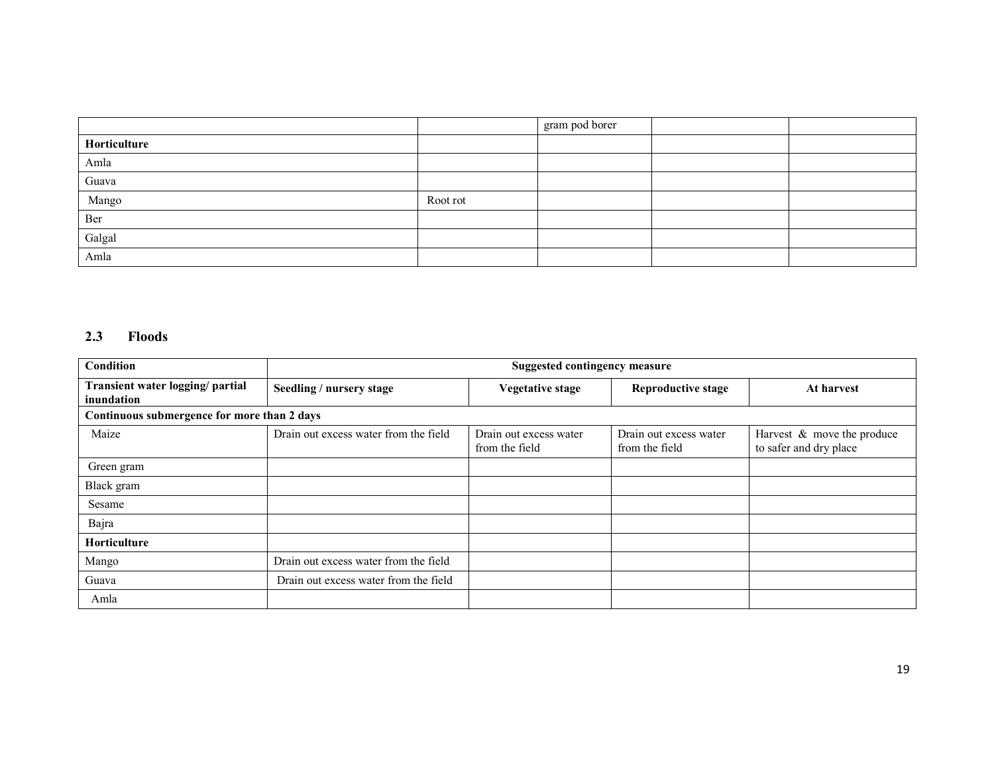|                |          | gram pod borer |  |
|----------------|----------|----------------|--|
| Horticulture   |          |                |  |
| Amla           |          |                |  |
| Guava          |          |                |  |
| Mango          | Root rot |                |  |
| Ber            |          |                |  |
| Galgal<br>Amla |          |                |  |
|                |          |                |  |

## 2.3 Floods

| Condition                                      | <b>Suggested contingency measure</b>  |                                          |                                          |                                                         |  |
|------------------------------------------------|---------------------------------------|------------------------------------------|------------------------------------------|---------------------------------------------------------|--|
| Transient water logging/ partial<br>inundation | Seedling / nursery stage              | <b>Vegetative stage</b>                  | <b>Reproductive stage</b>                | At harvest                                              |  |
| Continuous submergence for more than 2 days    |                                       |                                          |                                          |                                                         |  |
| Maize                                          | Drain out excess water from the field | Drain out excess water<br>from the field | Drain out excess water<br>from the field | Harvest $\&$ move the produce<br>to safer and dry place |  |
| Green gram                                     |                                       |                                          |                                          |                                                         |  |
| Black gram                                     |                                       |                                          |                                          |                                                         |  |
| Sesame                                         |                                       |                                          |                                          |                                                         |  |
| Bajra                                          |                                       |                                          |                                          |                                                         |  |
| Horticulture                                   |                                       |                                          |                                          |                                                         |  |
| Mango                                          | Drain out excess water from the field |                                          |                                          |                                                         |  |
| Guava                                          | Drain out excess water from the field |                                          |                                          |                                                         |  |
| Amla                                           |                                       |                                          |                                          |                                                         |  |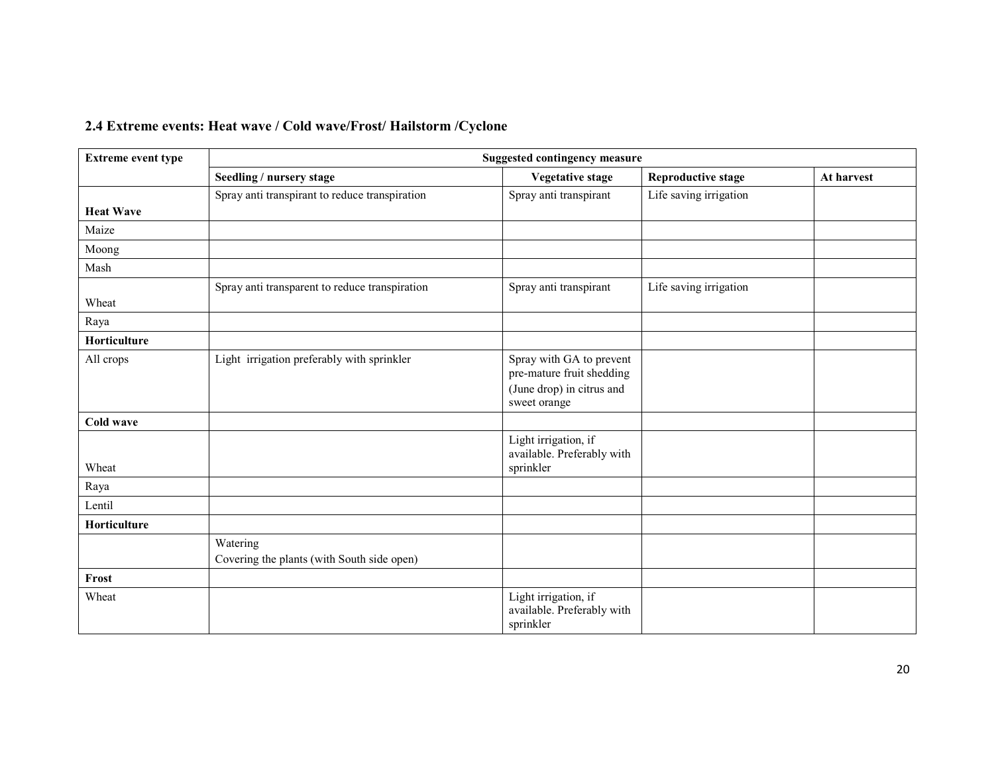# 2.4 Extreme events: Heat wave / Cold wave/Frost/ Hailstorm /Cyclone

| <b>Extreme event type</b> | <b>Suggested contingency measure</b>           |                                                                 |                           |            |  |  |  |
|---------------------------|------------------------------------------------|-----------------------------------------------------------------|---------------------------|------------|--|--|--|
|                           | Seedling / nursery stage                       | <b>Vegetative stage</b>                                         | <b>Reproductive stage</b> | At harvest |  |  |  |
|                           | Spray anti transpirant to reduce transpiration | Spray anti transpirant                                          | Life saving irrigation    |            |  |  |  |
| <b>Heat Wave</b>          |                                                |                                                                 |                           |            |  |  |  |
| Maize                     |                                                |                                                                 |                           |            |  |  |  |
| Moong                     |                                                |                                                                 |                           |            |  |  |  |
| Mash                      |                                                |                                                                 |                           |            |  |  |  |
|                           | Spray anti transparent to reduce transpiration | Spray anti transpirant                                          | Life saving irrigation    |            |  |  |  |
| Wheat                     |                                                |                                                                 |                           |            |  |  |  |
| Raya                      |                                                |                                                                 |                           |            |  |  |  |
| Horticulture              |                                                |                                                                 |                           |            |  |  |  |
| All crops                 | Light irrigation preferably with sprinkler     | Spray with GA to prevent<br>pre-mature fruit shedding           |                           |            |  |  |  |
|                           |                                                | (June drop) in citrus and<br>sweet orange                       |                           |            |  |  |  |
| Cold wave                 |                                                |                                                                 |                           |            |  |  |  |
|                           |                                                | Light irrigation, if<br>available. Preferably with              |                           |            |  |  |  |
| Wheat                     |                                                | sprinkler                                                       |                           |            |  |  |  |
| Raya                      |                                                |                                                                 |                           |            |  |  |  |
| Lentil                    |                                                |                                                                 |                           |            |  |  |  |
| Horticulture              |                                                |                                                                 |                           |            |  |  |  |
|                           | Watering                                       |                                                                 |                           |            |  |  |  |
|                           | Covering the plants (with South side open)     |                                                                 |                           |            |  |  |  |
| Frost                     |                                                |                                                                 |                           |            |  |  |  |
| Wheat                     |                                                | Light irrigation, if<br>available. Preferably with<br>sprinkler |                           |            |  |  |  |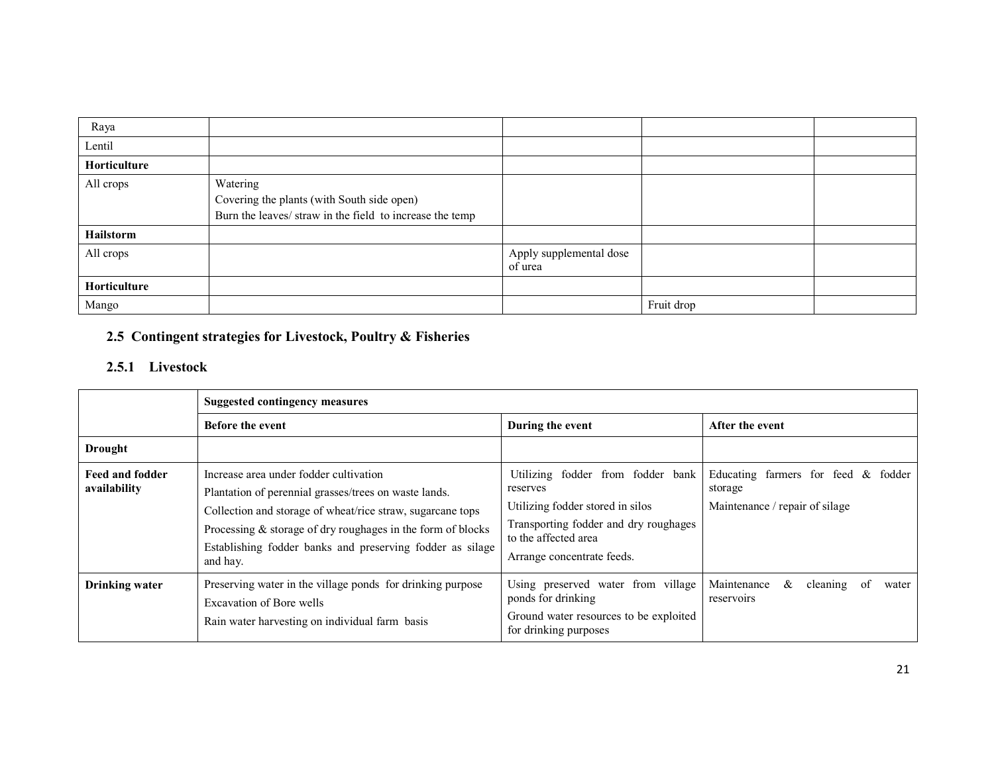| Raya         |                                                                                                                    |                                    |            |  |
|--------------|--------------------------------------------------------------------------------------------------------------------|------------------------------------|------------|--|
| Lentil       |                                                                                                                    |                                    |            |  |
| Horticulture |                                                                                                                    |                                    |            |  |
| All crops    | Watering<br>Covering the plants (with South side open)<br>Burn the leaves/ straw in the field to increase the temp |                                    |            |  |
| Hailstorm    |                                                                                                                    |                                    |            |  |
| All crops    |                                                                                                                    | Apply supplemental dose<br>of urea |            |  |
| Horticulture |                                                                                                                    |                                    |            |  |
| Mango        |                                                                                                                    |                                    | Fruit drop |  |

# 2.5 Contingent strategies for Livestock, Poultry & Fisheries

# 2.5.1 Livestock

|                                        | <b>Suggested contingency measures</b>                                                                                                                                                                                                                                                                   |                                                                                                                                                                                  |                                                                                     |  |  |
|----------------------------------------|---------------------------------------------------------------------------------------------------------------------------------------------------------------------------------------------------------------------------------------------------------------------------------------------------------|----------------------------------------------------------------------------------------------------------------------------------------------------------------------------------|-------------------------------------------------------------------------------------|--|--|
|                                        | <b>Before the event</b>                                                                                                                                                                                                                                                                                 | During the event                                                                                                                                                                 | After the event                                                                     |  |  |
| <b>Drought</b>                         |                                                                                                                                                                                                                                                                                                         |                                                                                                                                                                                  |                                                                                     |  |  |
| <b>Feed and fodder</b><br>availability | Increase area under fodder cultivation<br>Plantation of perennial grasses/trees on waste lands.<br>Collection and storage of wheat/rice straw, sugarcane tops<br>Processing $&$ storage of dry roughages in the form of blocks<br>Establishing fodder banks and preserving fodder as silage<br>and hay. | Utilizing fodder from fodder bank<br>reserves<br>Utilizing fodder stored in silos<br>Transporting fodder and dry roughages<br>to the affected area<br>Arrange concentrate feeds. | Educating farmers for feed $\&$ fodder<br>storage<br>Maintenance / repair of silage |  |  |
| <b>Drinking water</b>                  | Preserving water in the village ponds for drinking purpose<br><b>Excavation of Bore wells</b><br>Rain water harvesting on individual farm basis                                                                                                                                                         | Using preserved water from village<br>ponds for drinking<br>Ground water resources to be exploited<br>for drinking purposes                                                      | Maintenance<br>&<br>cleaning<br>water<br>0Ť<br>reservoirs                           |  |  |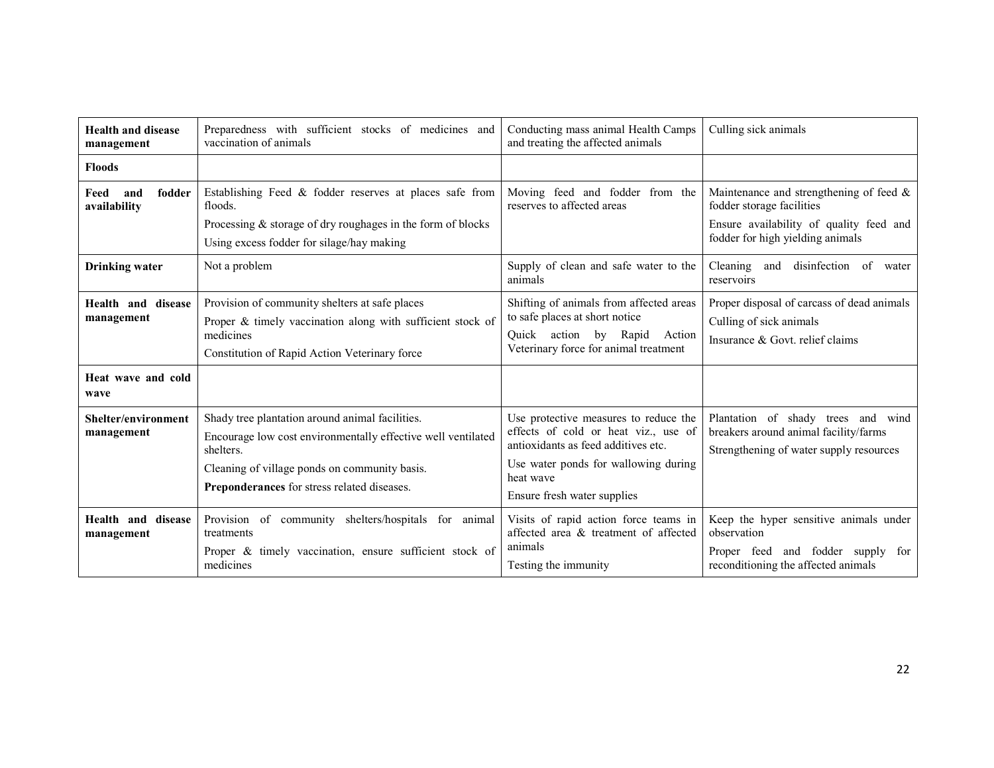| <b>Health and disease</b><br>management | Preparedness with sufficient stocks of medicines and<br>vaccination of animals                                                                                                                                                      | Conducting mass animal Health Camps<br>and treating the affected animals                                                                                                                                 | Culling sick animals                                                                                                              |
|-----------------------------------------|-------------------------------------------------------------------------------------------------------------------------------------------------------------------------------------------------------------------------------------|----------------------------------------------------------------------------------------------------------------------------------------------------------------------------------------------------------|-----------------------------------------------------------------------------------------------------------------------------------|
| <b>Floods</b>                           |                                                                                                                                                                                                                                     |                                                                                                                                                                                                          |                                                                                                                                   |
| Feed<br>fodder<br>and<br>availability   | Establishing Feed & fodder reserves at places safe from<br>floods.                                                                                                                                                                  | Moving feed and fodder from the<br>reserves to affected areas                                                                                                                                            | Maintenance and strengthening of feed $\&$<br>fodder storage facilities                                                           |
|                                         | Processing $&$ storage of dry roughages in the form of blocks<br>Using excess fodder for silage/hay making                                                                                                                          |                                                                                                                                                                                                          | Ensure availability of quality feed and<br>fodder for high yielding animals                                                       |
| <b>Drinking water</b>                   | Not a problem                                                                                                                                                                                                                       | Supply of clean and safe water to the<br>animals                                                                                                                                                         | disinfection<br>Cleaning<br>and<br>of<br>water<br>reservoirs                                                                      |
| Health and disease<br>management        | Provision of community shelters at safe places<br>Proper & timely vaccination along with sufficient stock of<br>medicines<br>Constitution of Rapid Action Veterinary force                                                          | Shifting of animals from affected areas<br>to safe places at short notice<br>Quick action by Rapid<br>Action<br>Veterinary force for animal treatment                                                    | Proper disposal of carcass of dead animals<br>Culling of sick animals<br>Insurance & Govt. relief claims                          |
| Heat wave and cold<br>wave              |                                                                                                                                                                                                                                     |                                                                                                                                                                                                          |                                                                                                                                   |
| Shelter/environment<br>management       | Shady tree plantation around animal facilities.<br>Encourage low cost environmentally effective well ventilated<br>shelters.<br>Cleaning of village ponds on community basis.<br><b>Preponderances</b> for stress related diseases. | Use protective measures to reduce the<br>effects of cold or heat viz., use of<br>antioxidants as feed additives etc.<br>Use water ponds for wallowing during<br>heat wave<br>Ensure fresh water supplies | Plantation of shady trees and wind<br>breakers around animal facility/farms<br>Strengthening of water supply resources            |
| Health and disease<br>management        | Provision of community shelters/hospitals for animal<br>treatments<br>Proper & timely vaccination, ensure sufficient stock of<br>medicines                                                                                          | Visits of rapid action force teams in<br>affected area & treatment of affected<br>animals<br>Testing the immunity                                                                                        | Keep the hyper sensitive animals under<br>observation<br>Proper feed and fodder supply for<br>reconditioning the affected animals |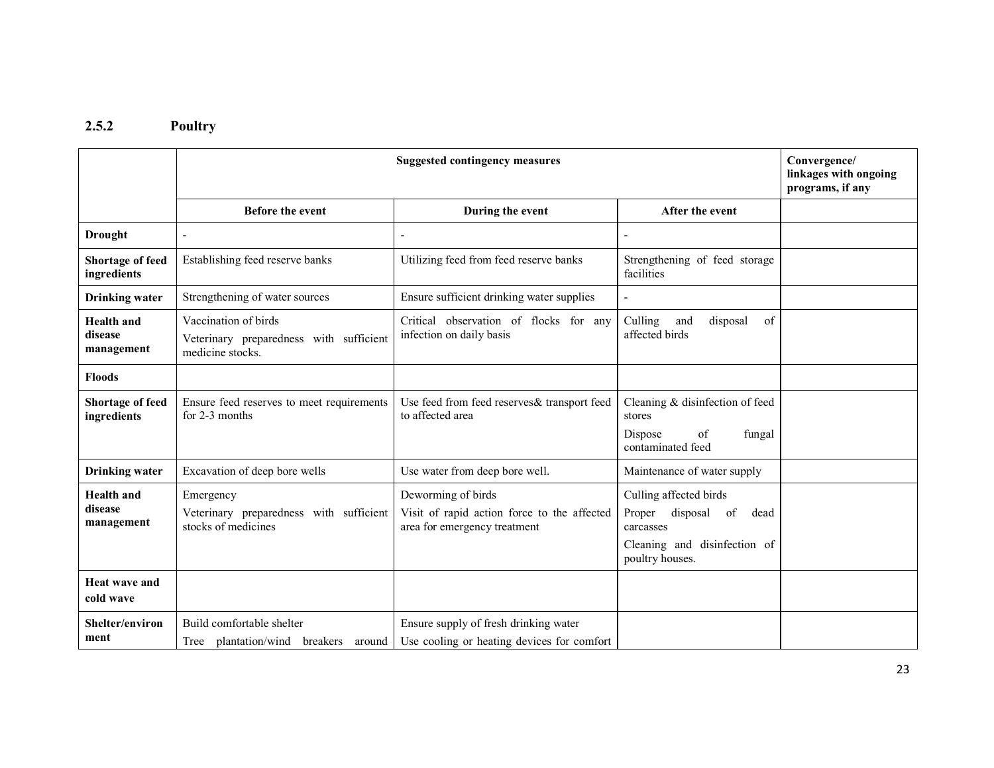#### 2.5.2 Poultry

|                                            |                                                                                     | Convergence/<br>linkages with ongoing<br>programs, if any                                         |                                                                                                                         |  |
|--------------------------------------------|-------------------------------------------------------------------------------------|---------------------------------------------------------------------------------------------------|-------------------------------------------------------------------------------------------------------------------------|--|
|                                            | <b>Before the event</b>                                                             | During the event                                                                                  | After the event                                                                                                         |  |
| <b>Drought</b>                             | L,                                                                                  |                                                                                                   |                                                                                                                         |  |
| <b>Shortage of feed</b><br>ingredients     | Establishing feed reserve banks                                                     | Utilizing feed from feed reserve banks                                                            | Strengthening of feed storage<br>facilities                                                                             |  |
| <b>Drinking water</b>                      | Strengthening of water sources                                                      | Ensure sufficient drinking water supplies                                                         |                                                                                                                         |  |
| <b>Health</b> and<br>disease<br>management | Vaccination of birds<br>Veterinary preparedness with sufficient<br>medicine stocks. | Critical observation of flocks for any<br>infection on daily basis                                | Culling<br>disposal<br>of<br>and<br>affected birds                                                                      |  |
| <b>Floods</b>                              |                                                                                     |                                                                                                   |                                                                                                                         |  |
| Shortage of feed<br>ingredients            | Ensure feed reserves to meet requirements<br>for 2-3 months                         | Use feed from feed reserves& transport feed<br>to affected area                                   | Cleaning & disinfection of feed<br>stores<br>of<br>fungal<br>Dispose<br>contaminated feed                               |  |
| <b>Drinking water</b>                      | Excavation of deep bore wells                                                       | Use water from deep bore well.                                                                    | Maintenance of water supply                                                                                             |  |
| <b>Health</b> and<br>disease<br>management | Emergency<br>Veterinary preparedness with sufficient<br>stocks of medicines         | Deworming of birds<br>Visit of rapid action force to the affected<br>area for emergency treatment | Culling affected birds<br>Proper<br>disposal of<br>dead<br>carcasses<br>Cleaning and disinfection of<br>poultry houses. |  |
| <b>Heat wave and</b><br>cold wave          |                                                                                     |                                                                                                   |                                                                                                                         |  |
| Shelter/environ<br>ment                    | Build comfortable shelter<br>plantation/wind breakers<br>Tree<br>around             | Ensure supply of fresh drinking water<br>Use cooling or heating devices for comfort               |                                                                                                                         |  |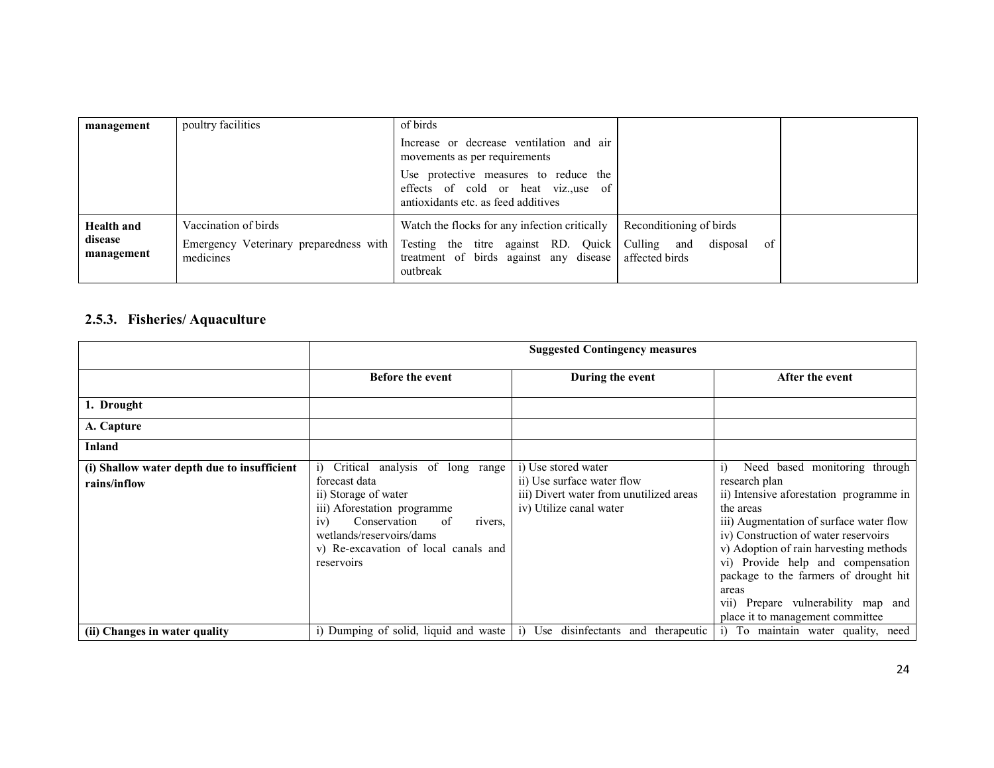| management                                 | poultry facilities                                                          | of birds                                                                                                                                   |                                                                            |  |
|--------------------------------------------|-----------------------------------------------------------------------------|--------------------------------------------------------------------------------------------------------------------------------------------|----------------------------------------------------------------------------|--|
|                                            |                                                                             | Increase or decrease ventilation and air<br>movements as per requirements                                                                  |                                                                            |  |
|                                            |                                                                             | Use protective measures to reduce the<br>effects of cold or heat viz., use of<br>antioxidants etc. as feed additives                       |                                                                            |  |
| <b>Health and</b><br>disease<br>management | Vaccination of birds<br>Emergency Veterinary preparedness with<br>medicines | Watch the flocks for any infection critically<br>Testing the titre against RD. Quick<br>treatment of birds against any disease<br>outbreak | Reconditioning of birds<br>of<br>Culling and<br>disposal<br>affected birds |  |

### 2.5.3. Fisheries/ Aquaculture

|                                                             | <b>Suggested Contingency measures</b>                                                                                                                                                                                             |                                                                                                                         |                                                                                                                                                                                                                                                                                                                                                                                                                        |  |
|-------------------------------------------------------------|-----------------------------------------------------------------------------------------------------------------------------------------------------------------------------------------------------------------------------------|-------------------------------------------------------------------------------------------------------------------------|------------------------------------------------------------------------------------------------------------------------------------------------------------------------------------------------------------------------------------------------------------------------------------------------------------------------------------------------------------------------------------------------------------------------|--|
|                                                             | <b>Before the event</b>                                                                                                                                                                                                           | During the event                                                                                                        | After the event                                                                                                                                                                                                                                                                                                                                                                                                        |  |
| 1. Drought                                                  |                                                                                                                                                                                                                                   |                                                                                                                         |                                                                                                                                                                                                                                                                                                                                                                                                                        |  |
| A. Capture                                                  |                                                                                                                                                                                                                                   |                                                                                                                         |                                                                                                                                                                                                                                                                                                                                                                                                                        |  |
| Inland                                                      |                                                                                                                                                                                                                                   |                                                                                                                         |                                                                                                                                                                                                                                                                                                                                                                                                                        |  |
| (i) Shallow water depth due to insufficient<br>rains/inflow | Critical analysis of long range<br>forecast data<br>ii) Storage of water<br>iii) Aforestation programme<br>Conservation<br>of<br>iv)<br>rivers.<br>wetlands/reservoirs/dams<br>v) Re-excavation of local canals and<br>reservoirs | i) Use stored water<br>ii) Use surface water flow<br>iii) Divert water from unutilized areas<br>iv) Utilize canal water | Need based monitoring through<br>$\overline{1}$<br>research plan<br>ii) Intensive aforestation programme in<br>the areas<br>iii) Augmentation of surface water flow<br>iv) Construction of water reservoirs<br>v) Adoption of rain harvesting methods<br>vi) Provide help and compensation<br>package to the farmers of drought hit<br>areas<br>vii) Prepare vulnerability map and<br>place it to management committee |  |
| (ii) Changes in water quality                               | i) Dumping of solid, liquid and waste $ i\rangle$                                                                                                                                                                                 | Use disinfectants and therapeutic                                                                                       | i) To maintain water quality, need                                                                                                                                                                                                                                                                                                                                                                                     |  |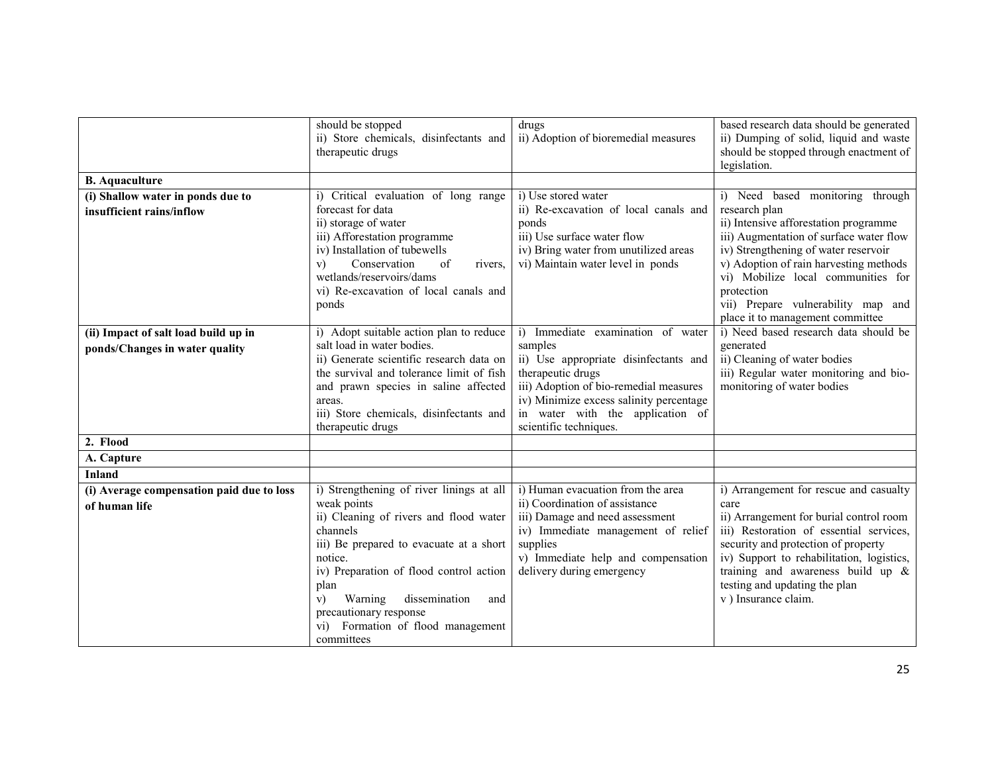|                                                            | should be stopped<br>ii) Store chemicals, disinfectants and<br>therapeutic drugs                                                                                                                                                                                                                                                             | drugs<br>ii) Adoption of bioremedial measures                                                                                                                                                                               | based research data should be generated<br>ii) Dumping of solid, liquid and waste<br>should be stopped through enactment of<br>legislation.                                                                                                                                                                              |
|------------------------------------------------------------|----------------------------------------------------------------------------------------------------------------------------------------------------------------------------------------------------------------------------------------------------------------------------------------------------------------------------------------------|-----------------------------------------------------------------------------------------------------------------------------------------------------------------------------------------------------------------------------|--------------------------------------------------------------------------------------------------------------------------------------------------------------------------------------------------------------------------------------------------------------------------------------------------------------------------|
| <b>B.</b> Aquaculture                                      |                                                                                                                                                                                                                                                                                                                                              |                                                                                                                                                                                                                             |                                                                                                                                                                                                                                                                                                                          |
| (i) Shallow water in ponds due to                          | i) Critical evaluation of long range                                                                                                                                                                                                                                                                                                         | i) Use stored water                                                                                                                                                                                                         | i) Need based monitoring through                                                                                                                                                                                                                                                                                         |
| insufficient rains/inflow                                  | forecast for data<br>ii) storage of water<br>iii) Afforestation programme<br>iv) Installation of tubewells<br>Conservation<br>of<br>V)<br>rivers.<br>wetlands/reservoirs/dams<br>vi) Re-excavation of local canals and<br>ponds                                                                                                              | ii) Re-excavation of local canals and<br>ponds<br>iii) Use surface water flow<br>iv) Bring water from unutilized areas<br>vi) Maintain water level in ponds                                                                 | research plan<br>ii) Intensive afforestation programme<br>iii) Augmentation of surface water flow<br>iv) Strengthening of water reservoir<br>v) Adoption of rain harvesting methods<br>vi) Mobilize local communities for<br>protection<br>vii) Prepare vulnerability map and                                            |
|                                                            |                                                                                                                                                                                                                                                                                                                                              |                                                                                                                                                                                                                             | place it to management committee                                                                                                                                                                                                                                                                                         |
| (ii) Impact of salt load build up in                       | i) Adopt suitable action plan to reduce                                                                                                                                                                                                                                                                                                      | Immediate examination of water<br>$\overline{1}$                                                                                                                                                                            | i) Need based research data should be                                                                                                                                                                                                                                                                                    |
| ponds/Changes in water quality                             | salt load in water bodies.<br>ii) Generate scientific research data on<br>the survival and tolerance limit of fish<br>and prawn species in saline affected<br>areas.<br>iii) Store chemicals, disinfectants and<br>therapeutic drugs                                                                                                         | samples<br>ii) Use appropriate disinfectants and<br>therapeutic drugs<br>iii) Adoption of bio-remedial measures<br>iv) Minimize excess salinity percentage<br>in water with the application of<br>scientific techniques.    | generated<br>ii) Cleaning of water bodies<br>iii) Regular water monitoring and bio-<br>monitoring of water bodies                                                                                                                                                                                                        |
| 2. Flood                                                   |                                                                                                                                                                                                                                                                                                                                              |                                                                                                                                                                                                                             |                                                                                                                                                                                                                                                                                                                          |
| A. Capture                                                 |                                                                                                                                                                                                                                                                                                                                              |                                                                                                                                                                                                                             |                                                                                                                                                                                                                                                                                                                          |
| <b>Inland</b>                                              |                                                                                                                                                                                                                                                                                                                                              |                                                                                                                                                                                                                             |                                                                                                                                                                                                                                                                                                                          |
| (i) Average compensation paid due to loss<br>of human life | i) Strengthening of river linings at all<br>weak points<br>ii) Cleaning of rivers and flood water<br>channels<br>iii) Be prepared to evacuate at a short<br>notice.<br>iv) Preparation of flood control action<br>plan<br>dissemination<br>Warning<br>V)<br>and<br>precautionary response<br>vi) Formation of flood management<br>committees | i) Human evacuation from the area<br>ii) Coordination of assistance<br>iii) Damage and need assessment<br>iv) Immediate management of relief<br>supplies<br>v) Immediate help and compensation<br>delivery during emergency | i) Arrangement for rescue and casualty<br>care<br>ii) Arrangement for burial control room<br>iii) Restoration of essential services,<br>security and protection of property<br>iv) Support to rehabilitation, logistics,<br>training and awareness build up $\&$<br>testing and updating the plan<br>v) Insurance claim. |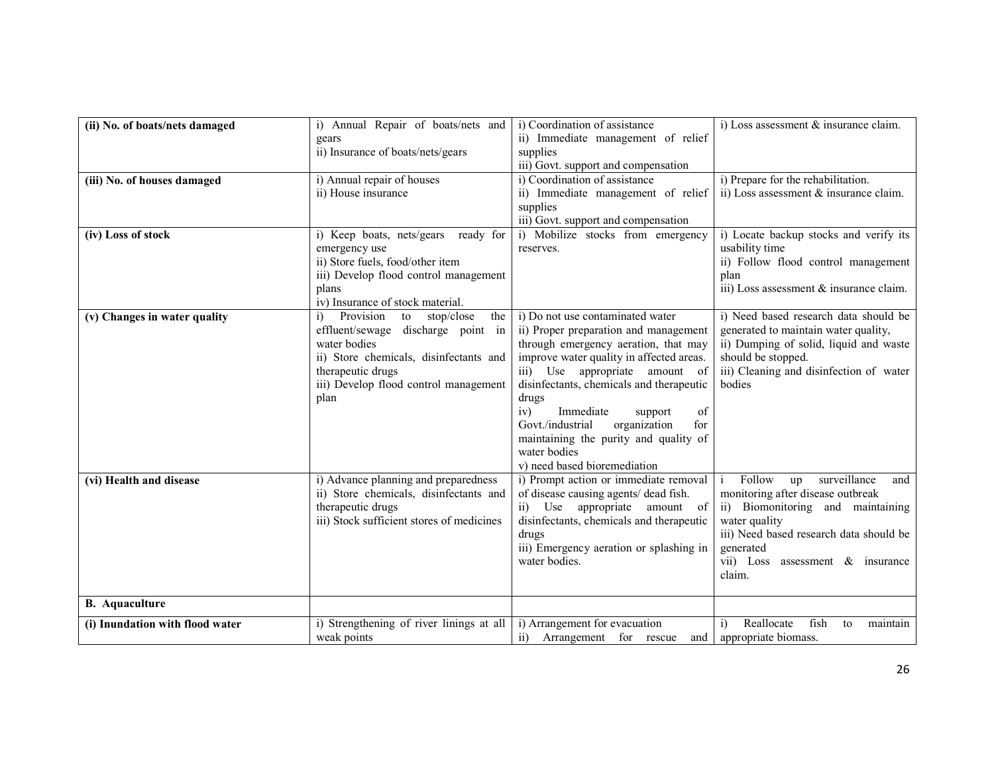| (ii) No. of boats/nets damaged  | i) Annual Repair of boats/nets and                      | i) Coordination of assistance                                                       | i) Loss assessment & insurance claim.               |
|---------------------------------|---------------------------------------------------------|-------------------------------------------------------------------------------------|-----------------------------------------------------|
|                                 | gears                                                   | ii) Immediate management of relief                                                  |                                                     |
|                                 | ii) Insurance of boats/nets/gears                       | supplies                                                                            |                                                     |
|                                 |                                                         | iii) Govt. support and compensation                                                 |                                                     |
| (iii) No. of houses damaged     | i) Annual repair of houses                              | i) Coordination of assistance                                                       | i) Prepare for the rehabilitation.                  |
|                                 | ii) House insurance                                     | ii) Immediate management of relief                                                  | ii) Loss assessment & insurance claim.              |
|                                 |                                                         | supplies                                                                            |                                                     |
|                                 |                                                         | iii) Govt. support and compensation                                                 |                                                     |
| (iv) Loss of stock              | i) Keep boats, nets/gears<br>ready for                  | i) Mobilize stocks from emergency                                                   | i) Locate backup stocks and verify its              |
|                                 | emergency use                                           | reserves.                                                                           | usability time                                      |
|                                 | ii) Store fuels, food/other item                        |                                                                                     | ii) Follow flood control management                 |
|                                 | iii) Develop flood control management                   |                                                                                     | plan                                                |
|                                 | plans<br>iv) Insurance of stock material.               |                                                                                     | iii) Loss assessment & insurance claim.             |
|                                 | Provision<br>stop/close<br>i)<br>to<br>the              | i) Do not use contaminated water                                                    | i) Need based research data should be               |
| (v) Changes in water quality    | effluent/sewage discharge point in                      | ii) Proper preparation and management                                               | generated to maintain water quality,                |
|                                 | water bodies                                            | through emergency aeration, that may                                                | ii) Dumping of solid, liquid and waste              |
|                                 | ii) Store chemicals, disinfectants and                  | improve water quality in affected areas.                                            | should be stopped.                                  |
|                                 | therapeutic drugs                                       | iii) Use appropriate amount of                                                      | iii) Cleaning and disinfection of water             |
|                                 | iii) Develop flood control management                   | disinfectants, chemicals and therapeutic                                            | bodies                                              |
|                                 | plan                                                    | drugs                                                                               |                                                     |
|                                 |                                                         | iv)<br>Immediate<br>of<br>support                                                   |                                                     |
|                                 |                                                         | Govt./industrial<br>organization<br>for                                             |                                                     |
|                                 |                                                         | maintaining the purity and quality of                                               |                                                     |
|                                 |                                                         | water bodies                                                                        |                                                     |
|                                 |                                                         | v) need based bioremediation                                                        |                                                     |
| (vi) Health and disease         | i) Advance planning and preparedness                    | i) Prompt action or immediate removal                                               | Follow<br>surveillance<br>and<br>up                 |
|                                 | ii) Store chemicals, disinfectants and                  | of disease causing agents/ dead fish.                                               | monitoring after disease outbreak                   |
|                                 | therapeutic drugs                                       | Use appropriate amount of<br>$\overline{11}$                                        | ii) Biomonitoring and maintaining                   |
|                                 | iii) Stock sufficient stores of medicines               | disinfectants, chemicals and therapeutic                                            | water quality                                       |
|                                 |                                                         | drugs<br>iii) Emergency aeration or splashing in                                    | iii) Need based research data should be             |
|                                 |                                                         | water bodies.                                                                       | generated<br>vii) Loss<br>assessment $\&$ insurance |
|                                 |                                                         |                                                                                     | claim.                                              |
|                                 |                                                         |                                                                                     |                                                     |
| <b>B.</b> Aquaculture           |                                                         |                                                                                     |                                                     |
|                                 |                                                         |                                                                                     | Reallocate<br>fish<br>to                            |
| (i) Inundation with flood water | i) Strengthening of river linings at all<br>weak points | i) Arrangement for evacuation<br>$\overline{11}$ )<br>Arrangement for rescue<br>and | maintain<br>i)<br>appropriate biomass.              |
|                                 |                                                         |                                                                                     |                                                     |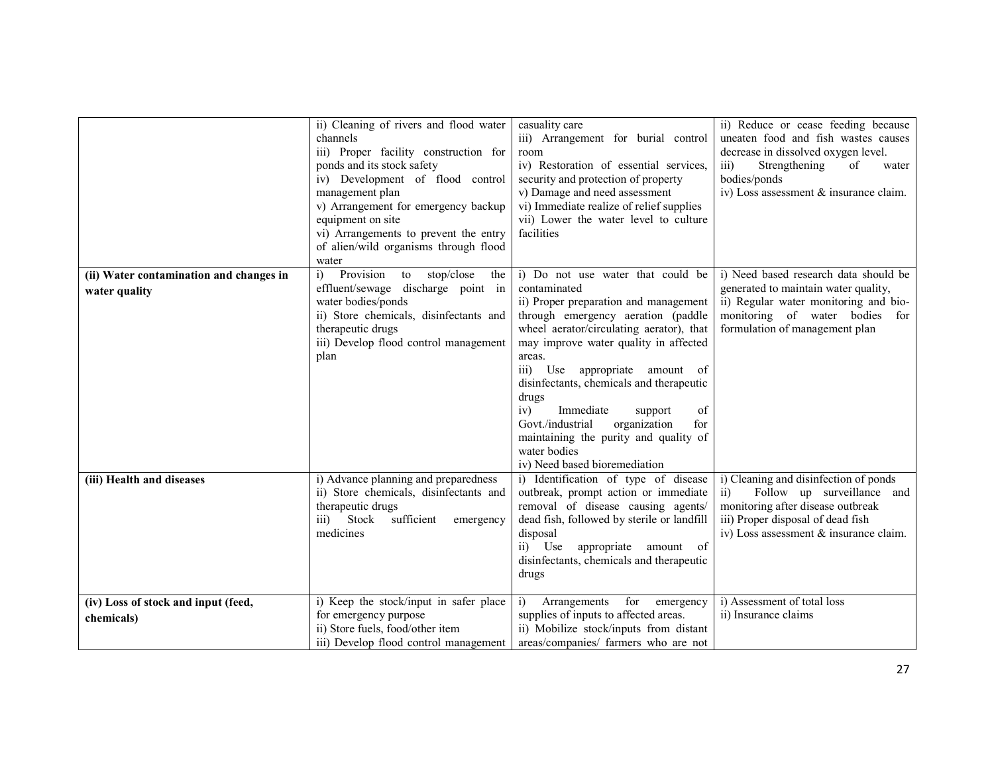|                                                          | ii) Cleaning of rivers and flood water<br>channels<br>iii) Proper facility construction for<br>ponds and its stock safety<br>iv) Development of flood control<br>management plan<br>v) Arrangement for emergency backup<br>equipment on site<br>vi) Arrangements to prevent the entry<br>of alien/wild organisms through flood<br>water | casuality care<br>iii) Arrangement for burial control<br>room<br>iv) Restoration of essential services,<br>security and protection of property<br>v) Damage and need assessment<br>vi) Immediate realize of relief supplies<br>vii) Lower the water level to culture<br>facilities                                                                                                                                                                                                               | ii) Reduce or cease feeding because<br>uneaten food and fish wastes causes<br>decrease in dissolved oxygen level.<br>Strengthening<br>of<br>$\overline{111}$<br>water<br>bodies/ponds<br>iv) Loss assessment & insurance claim. |
|----------------------------------------------------------|-----------------------------------------------------------------------------------------------------------------------------------------------------------------------------------------------------------------------------------------------------------------------------------------------------------------------------------------|--------------------------------------------------------------------------------------------------------------------------------------------------------------------------------------------------------------------------------------------------------------------------------------------------------------------------------------------------------------------------------------------------------------------------------------------------------------------------------------------------|---------------------------------------------------------------------------------------------------------------------------------------------------------------------------------------------------------------------------------|
| (ii) Water contamination and changes in<br>water quality | Provision<br>stop/close<br>$\ddot{1}$<br>to<br>the<br>effluent/sewage discharge point in<br>water bodies/ponds<br>ii) Store chemicals, disinfectants and<br>therapeutic drugs<br>iii) Develop flood control management<br>plan                                                                                                          | i) Do not use water that could be<br>contaminated<br>ii) Proper preparation and management<br>through emergency aeration (paddle<br>wheel aerator/circulating aerator), that<br>may improve water quality in affected<br>areas.<br>iii) Use appropriate amount of<br>disinfectants, chemicals and therapeutic<br>drugs<br>iv)<br>Immediate<br>of<br>support<br>Govt./industrial<br>organization<br>for<br>maintaining the purity and quality of<br>water bodies<br>iv) Need based bioremediation | i) Need based research data should be<br>generated to maintain water quality,<br>ii) Regular water monitoring and bio-<br>monitoring of water bodies<br>for<br>formulation of management plan                                   |
| (iii) Health and diseases                                | i) Advance planning and preparedness<br>ii) Store chemicals, disinfectants and<br>therapeutic drugs<br>iii) Stock<br>sufficient<br>emergency<br>medicines                                                                                                                                                                               | i) Identification of type of disease<br>outbreak, prompt action or immediate<br>removal of disease causing agents/<br>dead fish, followed by sterile or landfill<br>disposal<br>ii) Use appropriate<br>amount of<br>disinfectants, chemicals and therapeutic<br>drugs                                                                                                                                                                                                                            | i) Cleaning and disinfection of ponds<br>Follow up surveillance and<br>$\overline{11}$<br>monitoring after disease outbreak<br>iii) Proper disposal of dead fish<br>iv) Loss assessment & insurance claim.                      |
| (iv) Loss of stock and input (feed,<br>chemicals)        | i) Keep the stock/input in safer place<br>for emergency purpose<br>ii) Store fuels, food/other item<br>iii) Develop flood control management                                                                                                                                                                                            | for<br>Arrangements<br>i)<br>emergency<br>supplies of inputs to affected areas.<br>ii) Mobilize stock/inputs from distant<br>areas/companies/ farmers who are not                                                                                                                                                                                                                                                                                                                                | i) Assessment of total loss<br>ii) Insurance claims                                                                                                                                                                             |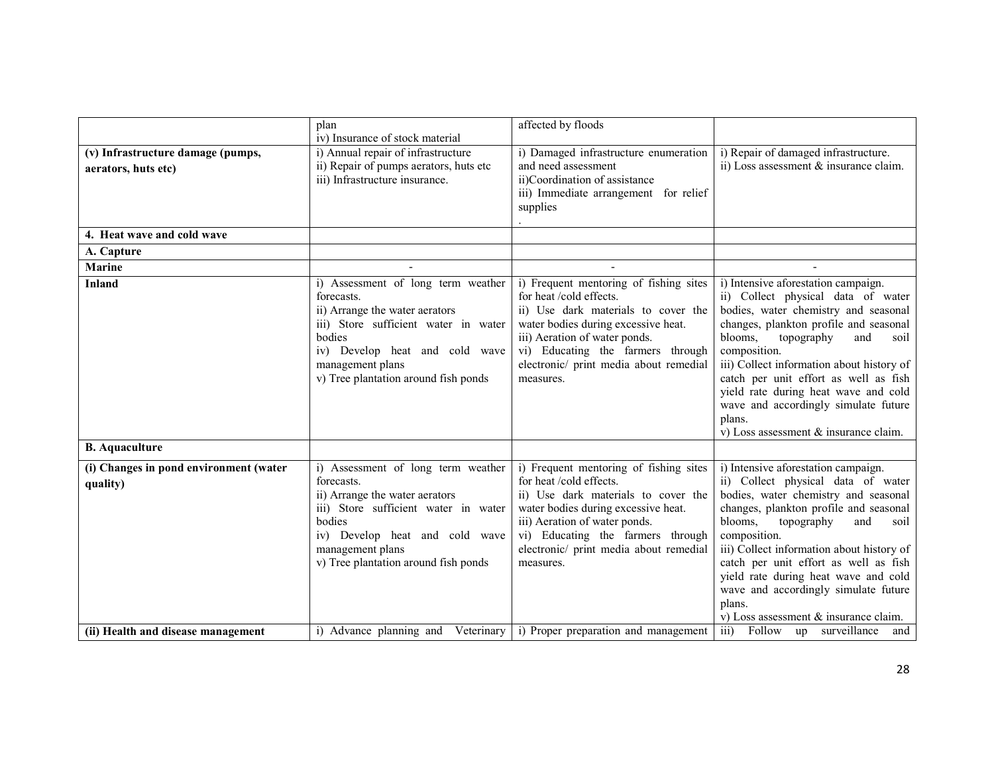|                                                          | plan<br>iv) Insurance of stock material                                                                                                                                                                                            | affected by floods                                                                                                                                                                                                                                                          |                                                                                                                                                                                                                                                                                                                                                                                                                                                 |
|----------------------------------------------------------|------------------------------------------------------------------------------------------------------------------------------------------------------------------------------------------------------------------------------------|-----------------------------------------------------------------------------------------------------------------------------------------------------------------------------------------------------------------------------------------------------------------------------|-------------------------------------------------------------------------------------------------------------------------------------------------------------------------------------------------------------------------------------------------------------------------------------------------------------------------------------------------------------------------------------------------------------------------------------------------|
| (v) Infrastructure damage (pumps,<br>aerators, huts etc) | i) Annual repair of infrastructure<br>ii) Repair of pumps aerators, huts etc<br>iii) Infrastructure insurance.                                                                                                                     | i) Damaged infrastructure enumeration<br>and need assessment<br>ii)Coordination of assistance<br>iii) Immediate arrangement for relief<br>supplies                                                                                                                          | i) Repair of damaged infrastructure.<br>ii) Loss assessment & insurance claim.                                                                                                                                                                                                                                                                                                                                                                  |
| 4. Heat wave and cold wave                               |                                                                                                                                                                                                                                    |                                                                                                                                                                                                                                                                             |                                                                                                                                                                                                                                                                                                                                                                                                                                                 |
| A. Capture                                               |                                                                                                                                                                                                                                    |                                                                                                                                                                                                                                                                             |                                                                                                                                                                                                                                                                                                                                                                                                                                                 |
| <b>Marine</b>                                            |                                                                                                                                                                                                                                    |                                                                                                                                                                                                                                                                             |                                                                                                                                                                                                                                                                                                                                                                                                                                                 |
| <b>Inland</b><br><b>B.</b> Aquaculture                   | i) Assessment of long term weather<br>forecasts.<br>ii) Arrange the water aerators<br>iii) Store sufficient water in water<br>bodies<br>iv) Develop heat and cold wave<br>management plans<br>v) Tree plantation around fish ponds | i) Frequent mentoring of fishing sites<br>for heat/cold effects.<br>ii) Use dark materials to cover the<br>water bodies during excessive heat.<br>iii) Aeration of water ponds.<br>vi) Educating the farmers through<br>electronic/ print media about remedial<br>measures. | i) Intensive aforestation campaign.<br>ii) Collect physical data of water<br>bodies, water chemistry and seasonal<br>changes, plankton profile and seasonal<br>topography<br>blooms,<br>and<br>soil<br>composition.<br>iii) Collect information about history of<br>catch per unit effort as well as fish<br>yield rate during heat wave and cold<br>wave and accordingly simulate future<br>plans.<br>v) Loss assessment $\&$ insurance claim. |
| (i) Changes in pond environment (water                   | i) Assessment of long term weather                                                                                                                                                                                                 | i) Frequent mentoring of fishing sites                                                                                                                                                                                                                                      | i) Intensive aforestation campaign.                                                                                                                                                                                                                                                                                                                                                                                                             |
| quality)                                                 | forecasts.<br>ii) Arrange the water aerators<br>iii) Store sufficient water in water<br>bodies<br>iv) Develop heat and cold wave<br>management plans<br>v) Tree plantation around fish ponds                                       | for heat /cold effects.<br>ii) Use dark materials to cover the<br>water bodies during excessive heat.<br>iii) Aeration of water ponds.<br>vi) Educating the farmers through<br>electronic/ print media about remedial<br>measures.                                          | ii) Collect physical data of water<br>bodies, water chemistry and seasonal<br>changes, plankton profile and seasonal<br>blooms,<br>topography<br>and<br>soil<br>composition.<br>iii) Collect information about history of<br>catch per unit effort as well as fish<br>yield rate during heat wave and cold<br>wave and accordingly simulate future<br>plans.<br>v) Loss assessment & insurance claim.                                           |
| (ii) Health and disease management                       |                                                                                                                                                                                                                                    | i) Advance planning and Veterinary i) Proper preparation and management                                                                                                                                                                                                     | iii) Follow up surveillance and                                                                                                                                                                                                                                                                                                                                                                                                                 |